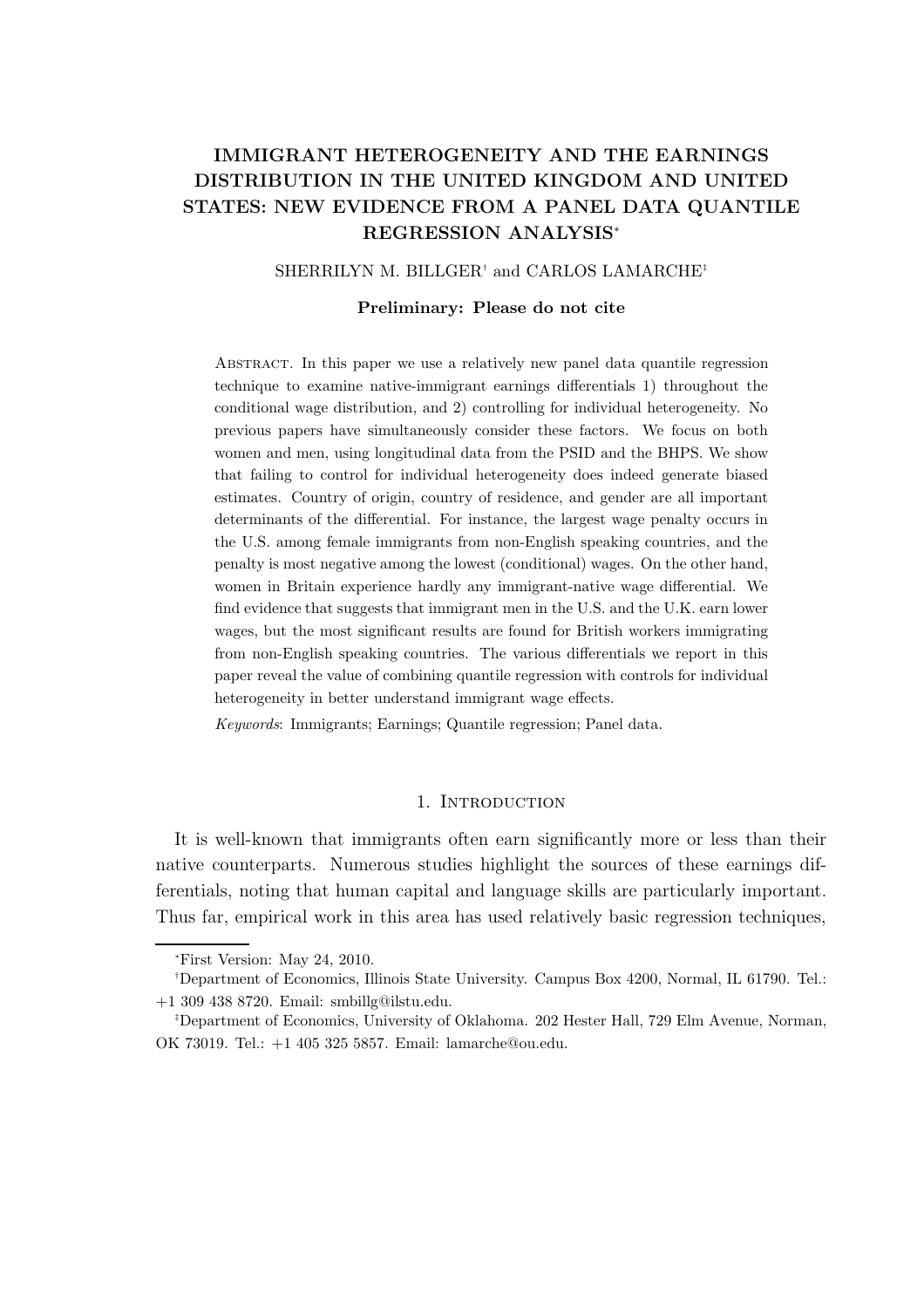# IMMIGRANT HETEROGENEITY AND THE EARNINGS DISTRIBUTION IN THE UNITED KINGDOM AND UNITED STATES: NEW EVIDENCE FROM A PANEL DATA QUANTILE REGRESSION ANALYSIS<sup>∗</sup>

SHERRILYN M. BILLGER<sup>†</sup> and CARLOS LAMARCHE<sup>‡</sup>

#### Preliminary: Please do not cite

Abstract. In this paper we use a relatively new panel data quantile regression technique to examine native-immigrant earnings differentials 1) throughout the conditional wage distribution, and 2) controlling for individual heterogeneity. No previous papers have simultaneously consider these factors. We focus on both women and men, using longitudinal data from the PSID and the BHPS. We show that failing to control for individual heterogeneity does indeed generate biased estimates. Country of origin, country of residence, and gender are all important determinants of the differential. For instance, the largest wage penalty occurs in the U.S. among female immigrants from non-English speaking countries, and the penalty is most negative among the lowest (conditional) wages. On the other hand, women in Britain experience hardly any immigrant-native wage differential. We find evidence that suggests that immigrant men in the U.S. and the U.K. earn lower wages, but the most significant results are found for British workers immigrating from non-English speaking countries. The various differentials we report in this paper reveal the value of combining quantile regression with controls for individual heterogeneity in better understand immigrant wage effects.

Keywords: Immigrants; Earnings; Quantile regression; Panel data.

### 1. INTRODUCTION

It is well-known that immigrants often earn significantly more or less than their native counterparts. Numerous studies highlight the sources of these earnings differentials, noting that human capital and language skills are particularly important. Thus far, empirical work in this area has used relatively basic regression techniques,

<sup>∗</sup>First Version: May 24, 2010.

<sup>†</sup>Department of Economics, Illinois State University. Campus Box 4200, Normal, IL 61790. Tel.: +1 309 438 8720. Email: smbillg@ilstu.edu.

<sup>‡</sup>Department of Economics, University of Oklahoma. 202 Hester Hall, 729 Elm Avenue, Norman, OK 73019. Tel.: +1 405 325 5857. Email: lamarche@ou.edu.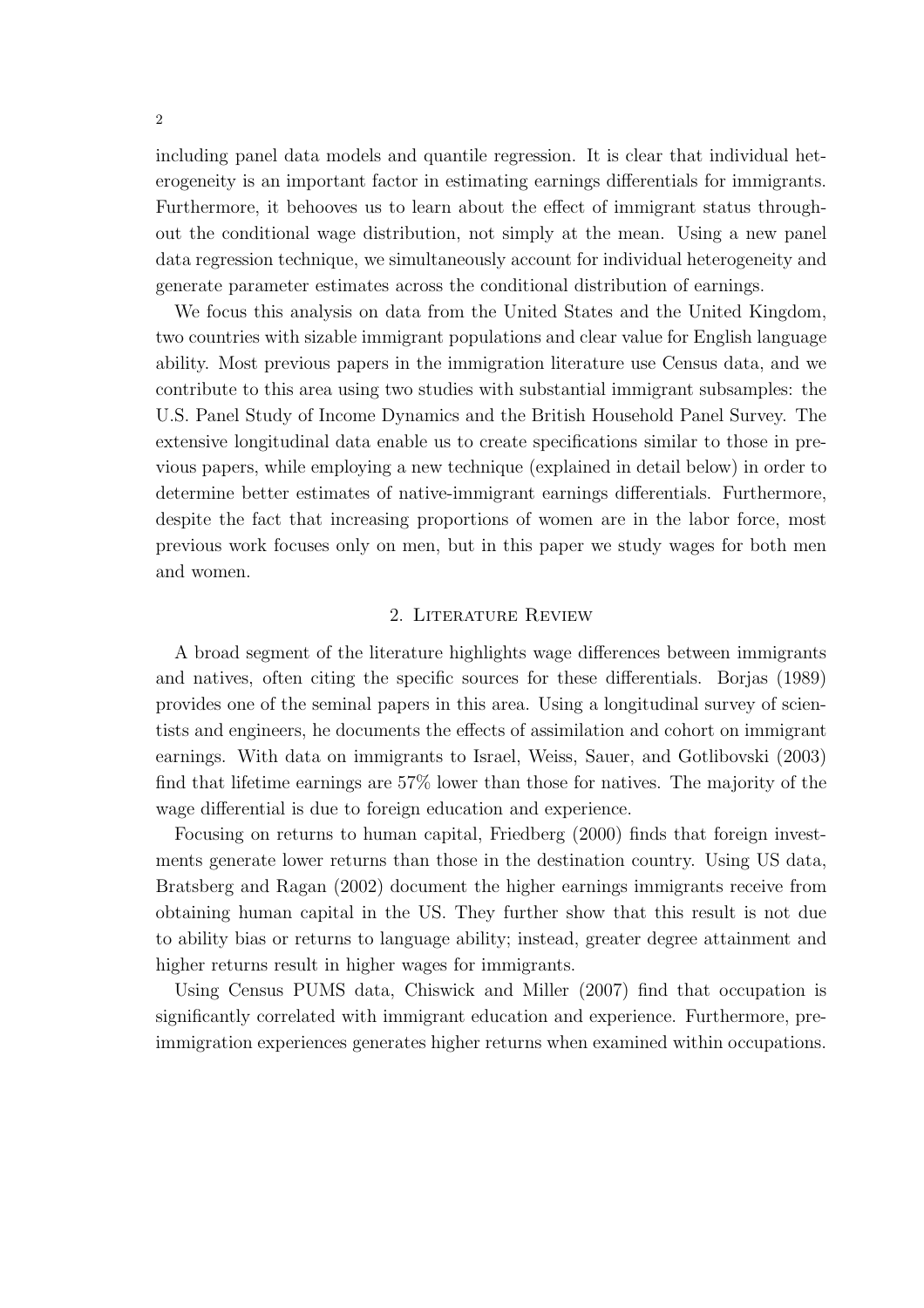including panel data models and quantile regression. It is clear that individual heterogeneity is an important factor in estimating earnings differentials for immigrants. Furthermore, it behooves us to learn about the effect of immigrant status throughout the conditional wage distribution, not simply at the mean. Using a new panel data regression technique, we simultaneously account for individual heterogeneity and generate parameter estimates across the conditional distribution of earnings.

We focus this analysis on data from the United States and the United Kingdom, two countries with sizable immigrant populations and clear value for English language ability. Most previous papers in the immigration literature use Census data, and we contribute to this area using two studies with substantial immigrant subsamples: the U.S. Panel Study of Income Dynamics and the British Household Panel Survey. The extensive longitudinal data enable us to create specifications similar to those in previous papers, while employing a new technique (explained in detail below) in order to determine better estimates of native-immigrant earnings differentials. Furthermore, despite the fact that increasing proportions of women are in the labor force, most previous work focuses only on men, but in this paper we study wages for both men and women.

#### 2. Literature Review

A broad segment of the literature highlights wage differences between immigrants and natives, often citing the specific sources for these differentials. Borjas (1989) provides one of the seminal papers in this area. Using a longitudinal survey of scientists and engineers, he documents the effects of assimilation and cohort on immigrant earnings. With data on immigrants to Israel, Weiss, Sauer, and Gotlibovski (2003) find that lifetime earnings are 57% lower than those for natives. The majority of the wage differential is due to foreign education and experience.

Focusing on returns to human capital, Friedberg (2000) finds that foreign investments generate lower returns than those in the destination country. Using US data, Bratsberg and Ragan (2002) document the higher earnings immigrants receive from obtaining human capital in the US. They further show that this result is not due to ability bias or returns to language ability; instead, greater degree attainment and higher returns result in higher wages for immigrants.

Using Census PUMS data, Chiswick and Miller (2007) find that occupation is significantly correlated with immigrant education and experience. Furthermore, preimmigration experiences generates higher returns when examined within occupations.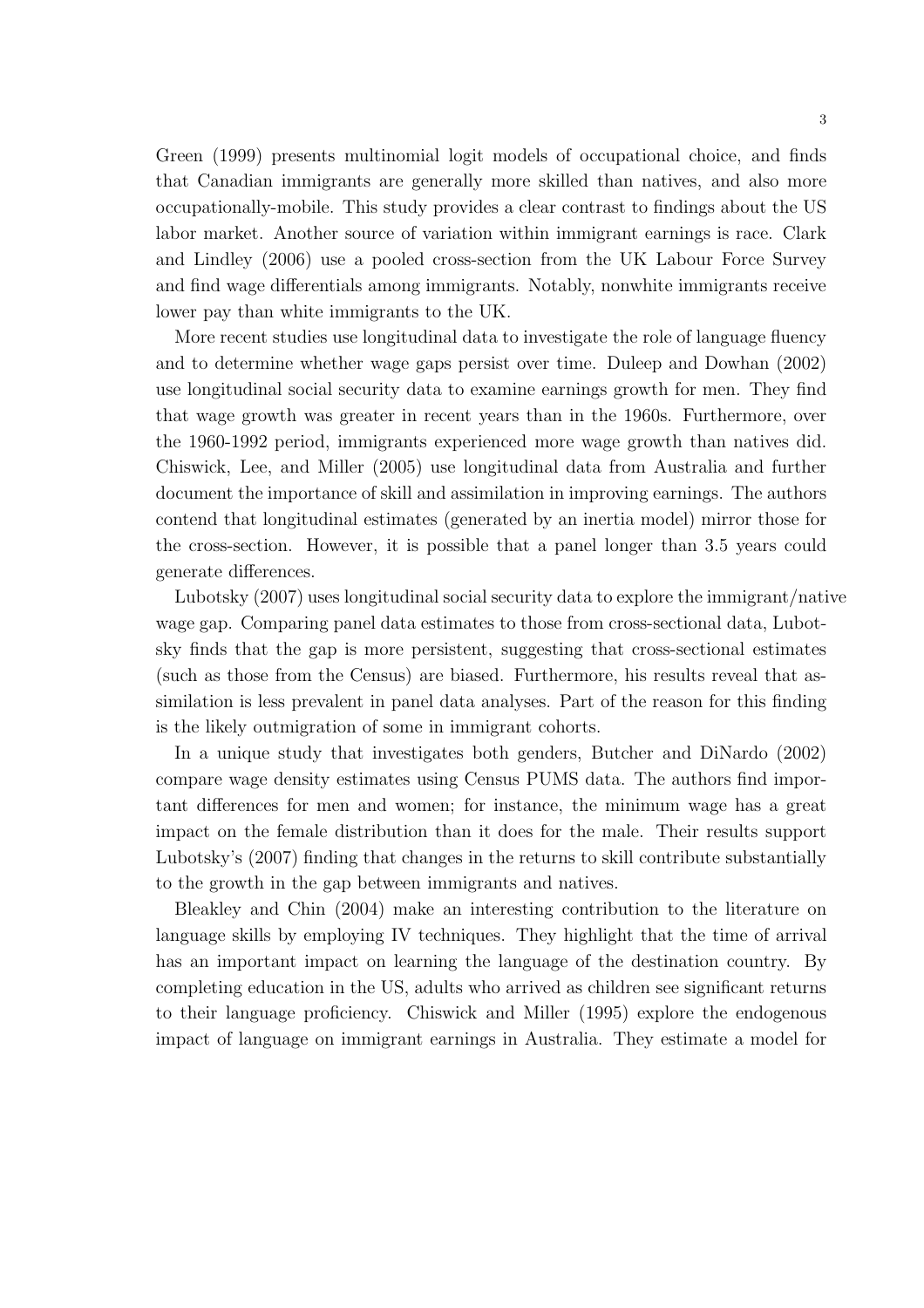Green (1999) presents multinomial logit models of occupational choice, and finds that Canadian immigrants are generally more skilled than natives, and also more occupationally-mobile. This study provides a clear contrast to findings about the US labor market. Another source of variation within immigrant earnings is race. Clark and Lindley (2006) use a pooled cross-section from the UK Labour Force Survey and find wage differentials among immigrants. Notably, nonwhite immigrants receive lower pay than white immigrants to the UK.

More recent studies use longitudinal data to investigate the role of language fluency and to determine whether wage gaps persist over time. Duleep and Dowhan (2002) use longitudinal social security data to examine earnings growth for men. They find that wage growth was greater in recent years than in the 1960s. Furthermore, over the 1960-1992 period, immigrants experienced more wage growth than natives did. Chiswick, Lee, and Miller (2005) use longitudinal data from Australia and further document the importance of skill and assimilation in improving earnings. The authors contend that longitudinal estimates (generated by an inertia model) mirror those for the cross-section. However, it is possible that a panel longer than 3.5 years could generate differences.

Lubotsky (2007) uses longitudinal social security data to explore the immigrant/native wage gap. Comparing panel data estimates to those from cross-sectional data, Lubotsky finds that the gap is more persistent, suggesting that cross-sectional estimates (such as those from the Census) are biased. Furthermore, his results reveal that assimilation is less prevalent in panel data analyses. Part of the reason for this finding is the likely outmigration of some in immigrant cohorts.

In a unique study that investigates both genders, Butcher and DiNardo (2002) compare wage density estimates using Census PUMS data. The authors find important differences for men and women; for instance, the minimum wage has a great impact on the female distribution than it does for the male. Their results support Lubotsky's (2007) finding that changes in the returns to skill contribute substantially to the growth in the gap between immigrants and natives.

Bleakley and Chin (2004) make an interesting contribution to the literature on language skills by employing IV techniques. They highlight that the time of arrival has an important impact on learning the language of the destination country. By completing education in the US, adults who arrived as children see significant returns to their language proficiency. Chiswick and Miller (1995) explore the endogenous impact of language on immigrant earnings in Australia. They estimate a model for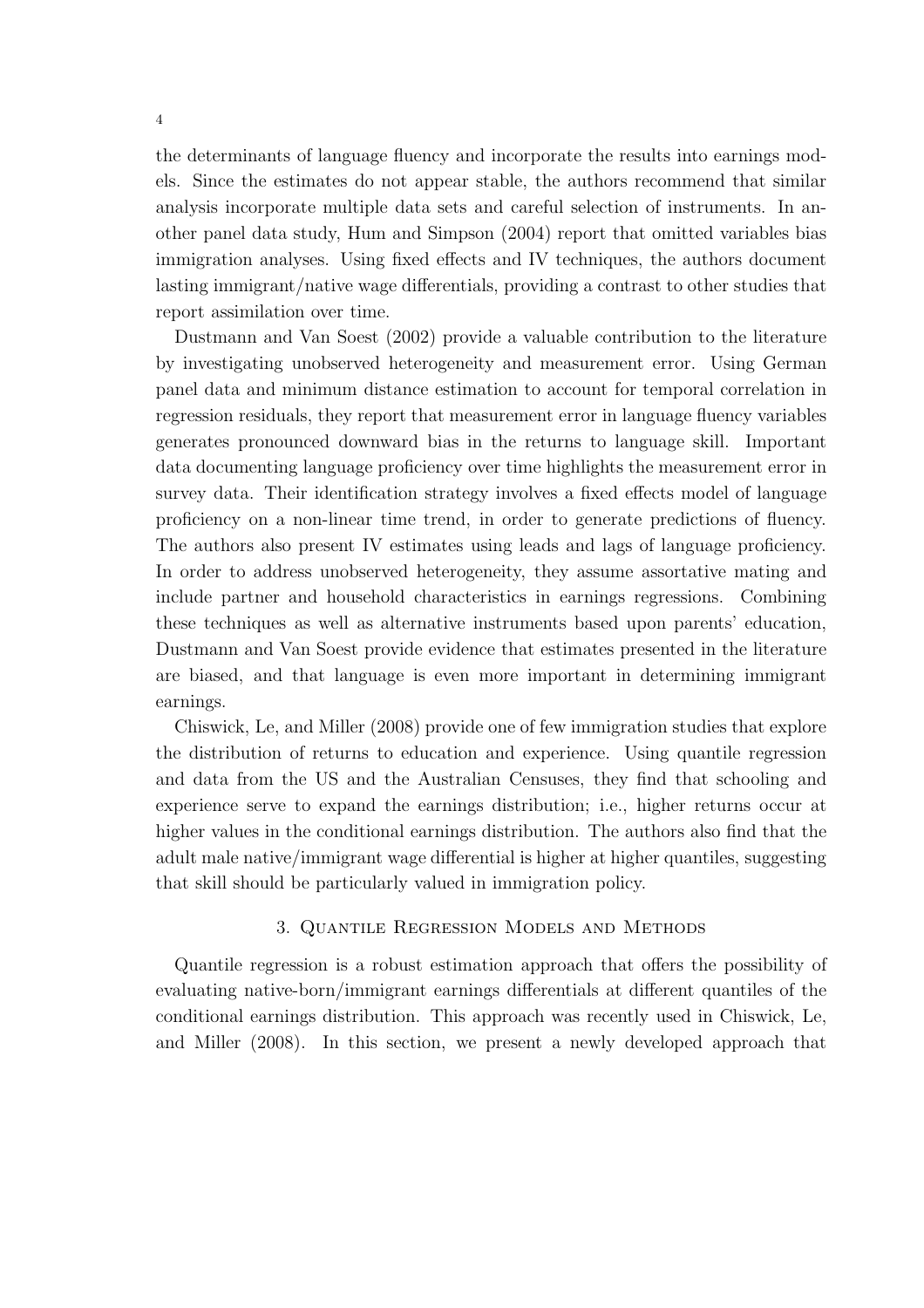the determinants of language fluency and incorporate the results into earnings models. Since the estimates do not appear stable, the authors recommend that similar analysis incorporate multiple data sets and careful selection of instruments. In another panel data study, Hum and Simpson (2004) report that omitted variables bias immigration analyses. Using fixed effects and IV techniques, the authors document lasting immigrant/native wage differentials, providing a contrast to other studies that report assimilation over time.

Dustmann and Van Soest (2002) provide a valuable contribution to the literature by investigating unobserved heterogeneity and measurement error. Using German panel data and minimum distance estimation to account for temporal correlation in regression residuals, they report that measurement error in language fluency variables generates pronounced downward bias in the returns to language skill. Important data documenting language proficiency over time highlights the measurement error in survey data. Their identification strategy involves a fixed effects model of language proficiency on a non-linear time trend, in order to generate predictions of fluency. The authors also present IV estimates using leads and lags of language proficiency. In order to address unobserved heterogeneity, they assume assortative mating and include partner and household characteristics in earnings regressions. Combining these techniques as well as alternative instruments based upon parents' education, Dustmann and Van Soest provide evidence that estimates presented in the literature are biased, and that language is even more important in determining immigrant earnings.

Chiswick, Le, and Miller (2008) provide one of few immigration studies that explore the distribution of returns to education and experience. Using quantile regression and data from the US and the Australian Censuses, they find that schooling and experience serve to expand the earnings distribution; i.e., higher returns occur at higher values in the conditional earnings distribution. The authors also find that the adult male native/immigrant wage differential is higher at higher quantiles, suggesting that skill should be particularly valued in immigration policy.

### 3. Quantile Regression Models and Methods

Quantile regression is a robust estimation approach that offers the possibility of evaluating native-born/immigrant earnings differentials at different quantiles of the conditional earnings distribution. This approach was recently used in Chiswick, Le, and Miller (2008). In this section, we present a newly developed approach that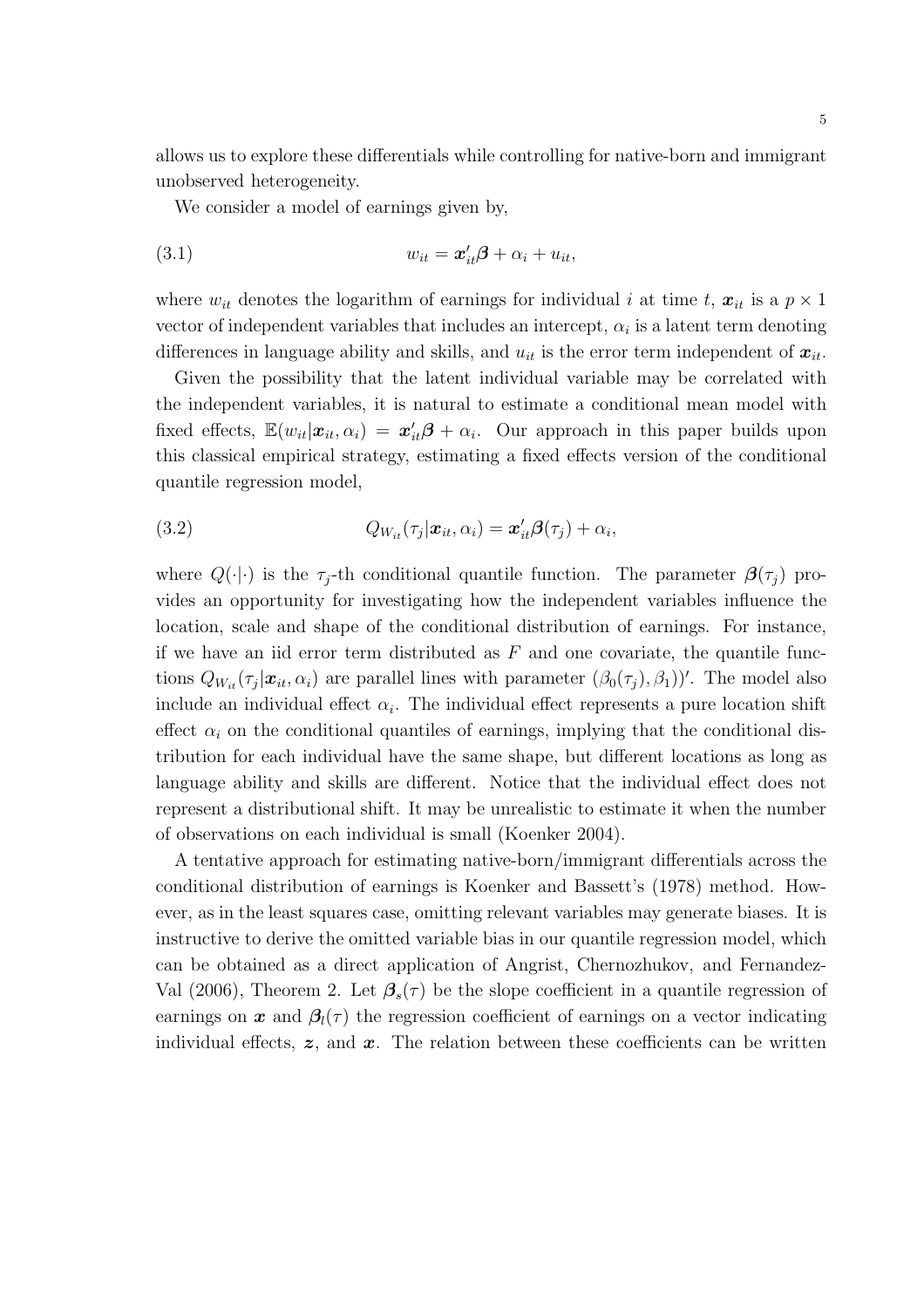allows us to explore these differentials while controlling for native-born and immigrant unobserved heterogeneity.

We consider a model of earnings given by,

$$
(3.1) \t\t\t w_{it} = \mathbf{x}_{it}'\mathbf{\beta} + \alpha_i + u_{it},
$$

where  $w_{it}$  denotes the logarithm of earnings for individual i at time t,  $x_{it}$  is a  $p \times 1$ vector of independent variables that includes an intercept,  $\alpha_i$  is a latent term denoting differences in language ability and skills, and  $u_{it}$  is the error term independent of  $x_{it}$ .

Given the possibility that the latent individual variable may be correlated with the independent variables, it is natural to estimate a conditional mean model with fixed effects,  $\mathbb{E}(w_{it}|\mathbf{x}_{it},\alpha_i) = \mathbf{x}'_{it}\boldsymbol{\beta} + \alpha_i$ . Our approach in this paper builds upon this classical empirical strategy, estimating a fixed effects version of the conditional quantile regression model,

(3.2) 
$$
Q_{W_{it}}(\tau_j|\boldsymbol{x}_{it},\alpha_i)=\boldsymbol{x}'_{it}\boldsymbol{\beta}(\tau_j)+\alpha_i,
$$

where  $Q(\cdot|\cdot)$  is the  $\tau_i$ -th conditional quantile function. The parameter  $\beta(\tau_i)$  provides an opportunity for investigating how the independent variables influence the location, scale and shape of the conditional distribution of earnings. For instance, if we have an iid error term distributed as  $F$  and one covariate, the quantile functions  $Q_{W_{it}}(\tau_j|\mathbf{x}_{it},\alpha_i)$  are parallel lines with parameter  $(\beta_0(\tau_j),\beta_1)'$ . The model also include an individual effect  $\alpha_i$ . The individual effect represents a pure location shift effect  $\alpha_i$  on the conditional quantiles of earnings, implying that the conditional distribution for each individual have the same shape, but different locations as long as language ability and skills are different. Notice that the individual effect does not represent a distributional shift. It may be unrealistic to estimate it when the number of observations on each individual is small (Koenker 2004).

A tentative approach for estimating native-born/immigrant differentials across the conditional distribution of earnings is Koenker and Bassett's (1978) method. However, as in the least squares case, omitting relevant variables may generate biases. It is instructive to derive the omitted variable bias in our quantile regression model, which can be obtained as a direct application of Angrist, Chernozhukov, and Fernandez-Val (2006), Theorem 2. Let  $\beta_s(\tau)$  be the slope coefficient in a quantile regression of earnings on x and  $\beta_l(\tau)$  the regression coefficient of earnings on a vector indicating individual effects,  $z$ , and  $x$ . The relation between these coefficients can be written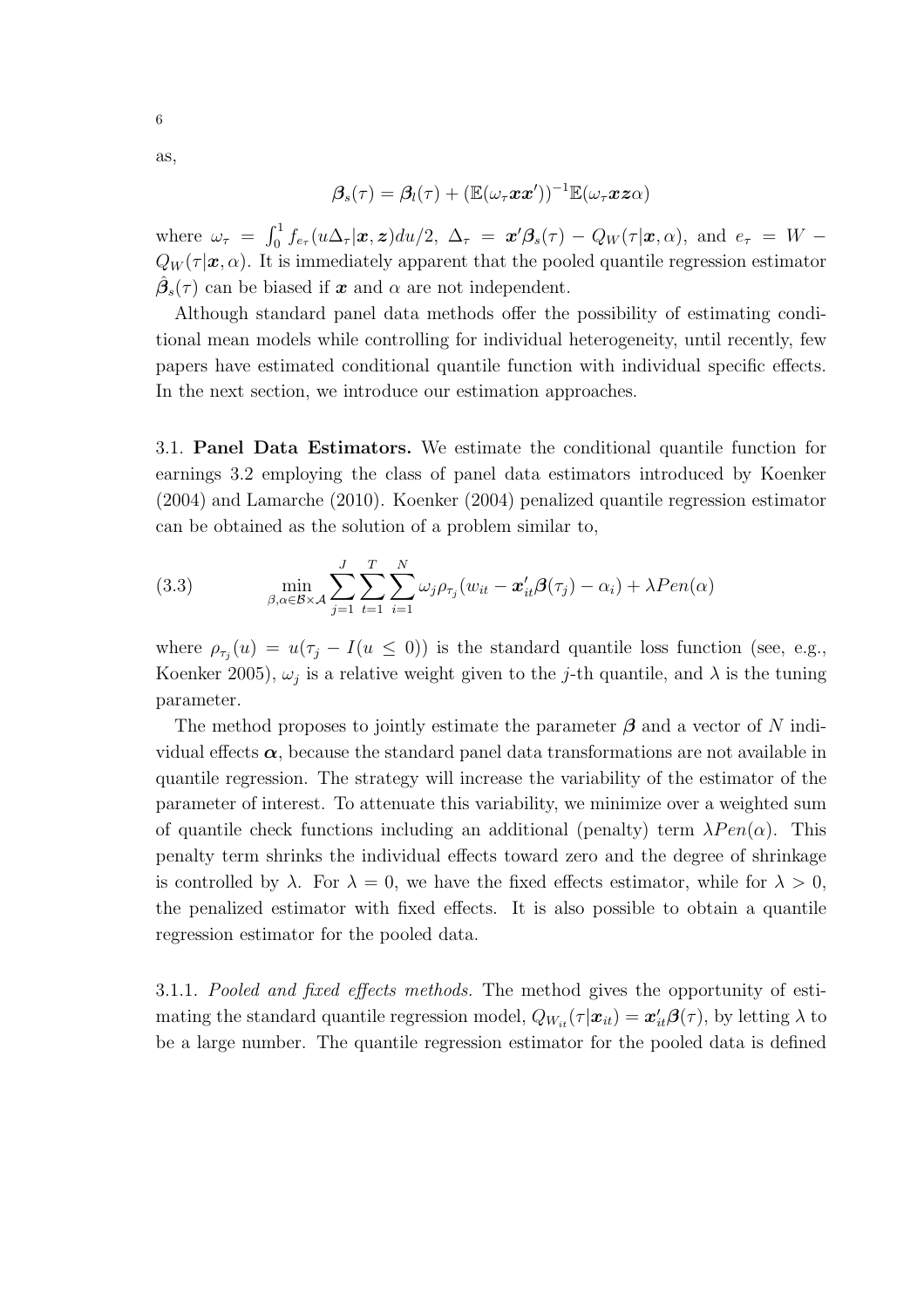$$
\boldsymbol{\beta}_s(\tau) = \boldsymbol{\beta}_l(\tau) + (\mathbb{E}(\omega_\tau \boldsymbol{x} \boldsymbol{x}'))^{-1} \mathbb{E}(\omega_\tau \boldsymbol{x} \boldsymbol{z} \alpha)
$$

where  $\omega_{\tau} = \int_0^1 f_{e_{\tau}}(u\Delta_{\tau}|\boldsymbol{x},\boldsymbol{z})du/2, \ \Delta_{\tau} = \boldsymbol{x}'\boldsymbol{\beta}_s(\tau) - Q_W(\tau|\boldsymbol{x},\alpha), \text{ and } e_{\tau} = W Q_W(\tau|\mathbf{x},\alpha)$ . It is immediately apparent that the pooled quantile regression estimator  $\hat{\beta}_{s}(\tau)$  can be biased if  $\boldsymbol{x}$  and  $\alpha$  are not independent.

Although standard panel data methods offer the possibility of estimating conditional mean models while controlling for individual heterogeneity, until recently, few papers have estimated conditional quantile function with individual specific effects. In the next section, we introduce our estimation approaches.

3.1. Panel Data Estimators. We estimate the conditional quantile function for earnings 3.2 employing the class of panel data estimators introduced by Koenker (2004) and Lamarche (2010). Koenker (2004) penalized quantile regression estimator can be obtained as the solution of a problem similar to,

(3.3) 
$$
\min_{\beta, \alpha \in \mathcal{B} \times \mathcal{A}} \sum_{j=1}^{J} \sum_{t=1}^{T} \sum_{i=1}^{N} \omega_j \rho_{\tau_j}(w_{it} - \boldsymbol{x}_{it}'\boldsymbol{\beta}(\tau_j) - \alpha_i) + \lambda Pen(\alpha)
$$

where  $\rho_{\tau_j}(u) = u(\tau_j - I(u \le 0))$  is the standard quantile loss function (see, e.g., Koenker 2005),  $\omega_j$  is a relative weight given to the j-th quantile, and  $\lambda$  is the tuning parameter.

The method proposes to jointly estimate the parameter  $\beta$  and a vector of N individual effects  $\alpha$ , because the standard panel data transformations are not available in quantile regression. The strategy will increase the variability of the estimator of the parameter of interest. To attenuate this variability, we minimize over a weighted sum of quantile check functions including an additional (penalty) term  $\lambda Pen(\alpha)$ . This penalty term shrinks the individual effects toward zero and the degree of shrinkage is controlled by  $\lambda$ . For  $\lambda = 0$ , we have the fixed effects estimator, while for  $\lambda > 0$ , the penalized estimator with fixed effects. It is also possible to obtain a quantile regression estimator for the pooled data.

3.1.1. Pooled and fixed effects methods. The method gives the opportunity of estimating the standard quantile regression model,  $Q_{W_{it}}(\tau|\mathbf{x}_{it}) = \mathbf{x}'_{it} \boldsymbol{\beta}(\tau)$ , by letting  $\lambda$  to be a large number. The quantile regression estimator for the pooled data is defined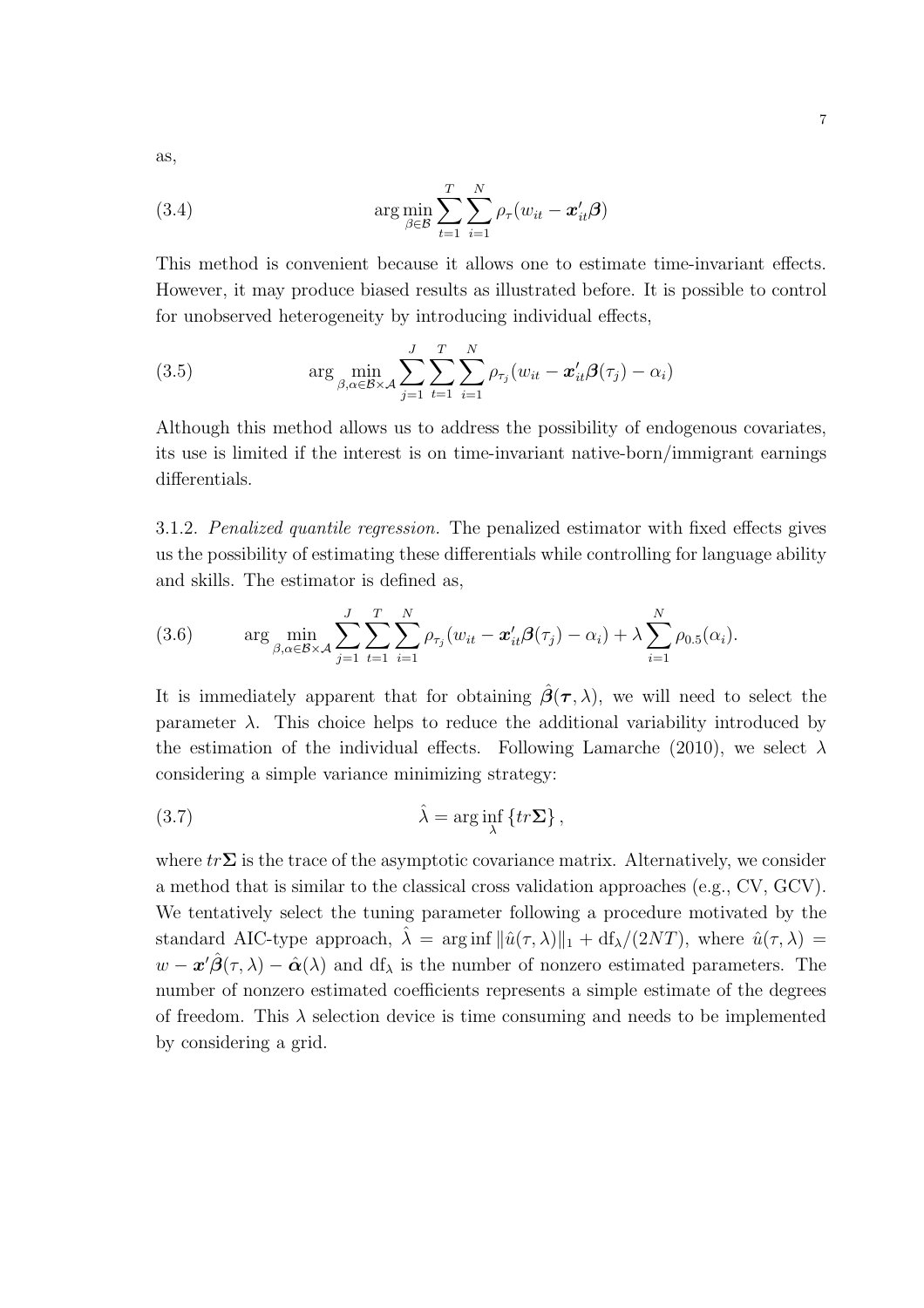as,

(3.4) 
$$
\arg \min_{\beta \in \mathcal{B}} \sum_{t=1}^{T} \sum_{i=1}^{N} \rho_{\tau}(w_{it} - \boldsymbol{x}_{it}^{\prime} \boldsymbol{\beta})
$$

This method is convenient because it allows one to estimate time-invariant effects. However, it may produce biased results as illustrated before. It is possible to control for unobserved heterogeneity by introducing individual effects,

(3.5) 
$$
\arg \min_{\beta, \alpha \in \mathcal{B} \times \mathcal{A}} \sum_{j=1}^{J} \sum_{t=1}^{T} \sum_{i=1}^{N} \rho_{\tau_j}(w_{it} - \boldsymbol{x}_{it}'\boldsymbol{\beta}(\tau_j) - \alpha_i)
$$

Although this method allows us to address the possibility of endogenous covariates, its use is limited if the interest is on time-invariant native-born/immigrant earnings differentials.

3.1.2. Penalized quantile regression. The penalized estimator with fixed effects gives us the possibility of estimating these differentials while controlling for language ability and skills. The estimator is defined as,

(3.6) 
$$
\arg \min_{\beta, \alpha \in \mathcal{B} \times \mathcal{A}} \sum_{j=1}^{J} \sum_{t=1}^{T} \sum_{i=1}^{N} \rho_{\tau_j}(w_{it} - \mathbf{x}'_{it} \mathbf{\beta}(\tau_j) - \alpha_i) + \lambda \sum_{i=1}^{N} \rho_{0.5}(\alpha_i).
$$

It is immediately apparent that for obtaining  $\hat{\beta}(\tau,\lambda)$ , we will need to select the parameter  $\lambda$ . This choice helps to reduce the additional variability introduced by the estimation of the individual effects. Following Lamarche (2010), we select  $\lambda$ considering a simple variance minimizing strategy:

(3.7) 
$$
\hat{\lambda} = \arg\inf_{\lambda} \{tr \Sigma\},
$$

where  $tr\sum$  is the trace of the asymptotic covariance matrix. Alternatively, we consider a method that is similar to the classical cross validation approaches (e.g., CV, GCV). We tentatively select the tuning parameter following a procedure motivated by the standard AIC-type approach,  $\hat{\lambda} = \arg \inf ||\hat{u}(\tau, \lambda)||_1 + df_{\lambda}/(2NT)$ , where  $\hat{u}(\tau, \lambda) =$  $w - \boldsymbol{x}'\hat{\boldsymbol{\beta}}(\tau,\lambda) - \hat{\boldsymbol{\alpha}}(\lambda)$  and  $df_{\lambda}$  is the number of nonzero estimated parameters. The number of nonzero estimated coefficients represents a simple estimate of the degrees of freedom. This  $\lambda$  selection device is time consuming and needs to be implemented by considering a grid.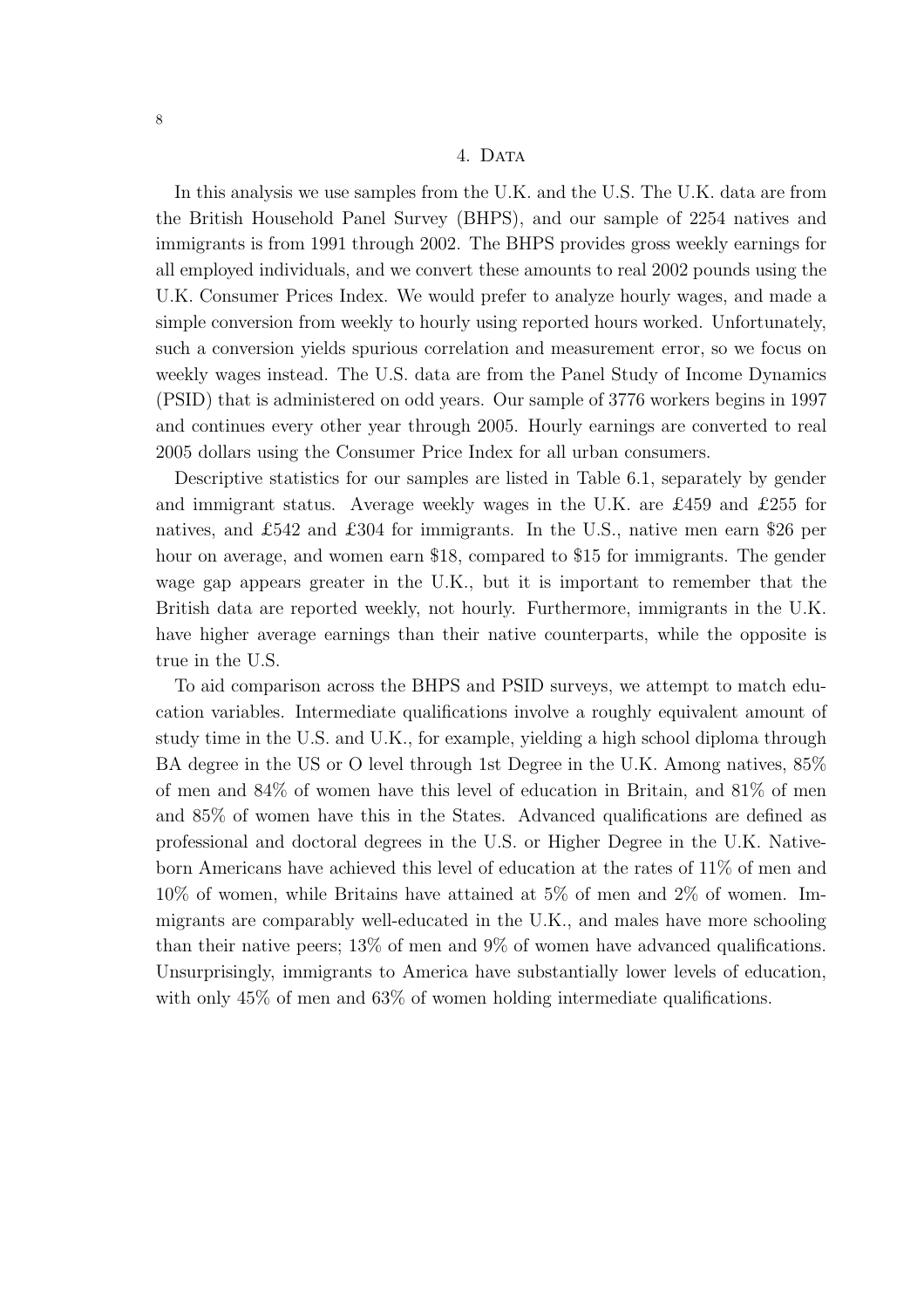#### 4. DATA

In this analysis we use samples from the U.K. and the U.S. The U.K. data are from the British Household Panel Survey (BHPS), and our sample of 2254 natives and immigrants is from 1991 through 2002. The BHPS provides gross weekly earnings for all employed individuals, and we convert these amounts to real 2002 pounds using the U.K. Consumer Prices Index. We would prefer to analyze hourly wages, and made a simple conversion from weekly to hourly using reported hours worked. Unfortunately, such a conversion yields spurious correlation and measurement error, so we focus on weekly wages instead. The U.S. data are from the Panel Study of Income Dynamics (PSID) that is administered on odd years. Our sample of 3776 workers begins in 1997 and continues every other year through 2005. Hourly earnings are converted to real 2005 dollars using the Consumer Price Index for all urban consumers.

Descriptive statistics for our samples are listed in Table 6.1, separately by gender and immigrant status. Average weekly wages in the U.K. are £459 and £255 for natives, and £542 and £304 for immigrants. In the U.S., native men earn \$26 per hour on average, and women earn \$18, compared to \$15 for immigrants. The gender wage gap appears greater in the U.K., but it is important to remember that the British data are reported weekly, not hourly. Furthermore, immigrants in the U.K. have higher average earnings than their native counterparts, while the opposite is true in the U.S.

To aid comparison across the BHPS and PSID surveys, we attempt to match education variables. Intermediate qualifications involve a roughly equivalent amount of study time in the U.S. and U.K., for example, yielding a high school diploma through BA degree in the US or O level through 1st Degree in the U.K. Among natives, 85% of men and 84% of women have this level of education in Britain, and 81% of men and 85% of women have this in the States. Advanced qualifications are defined as professional and doctoral degrees in the U.S. or Higher Degree in the U.K. Nativeborn Americans have achieved this level of education at the rates of 11% of men and 10% of women, while Britains have attained at 5% of men and 2% of women. Immigrants are comparably well-educated in the U.K., and males have more schooling than their native peers; 13% of men and 9% of women have advanced qualifications. Unsurprisingly, immigrants to America have substantially lower levels of education, with only 45% of men and 63% of women holding intermediate qualifications.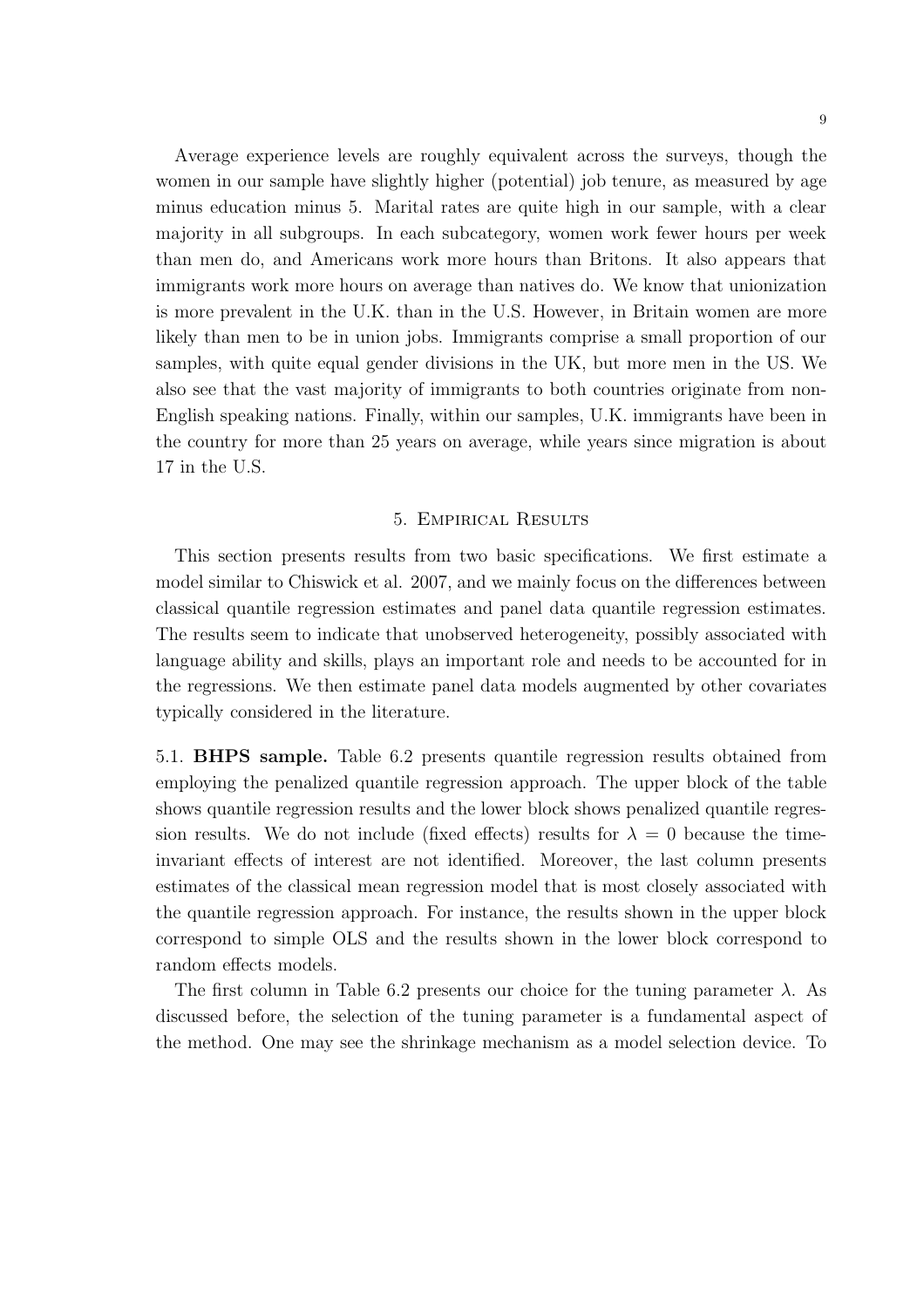Average experience levels are roughly equivalent across the surveys, though the women in our sample have slightly higher (potential) job tenure, as measured by age minus education minus 5. Marital rates are quite high in our sample, with a clear majority in all subgroups. In each subcategory, women work fewer hours per week than men do, and Americans work more hours than Britons. It also appears that immigrants work more hours on average than natives do. We know that unionization is more prevalent in the U.K. than in the U.S. However, in Britain women are more likely than men to be in union jobs. Immigrants comprise a small proportion of our samples, with quite equal gender divisions in the UK, but more men in the US. We also see that the vast majority of immigrants to both countries originate from non-English speaking nations. Finally, within our samples, U.K. immigrants have been in the country for more than 25 years on average, while years since migration is about 17 in the U.S.

## 5. Empirical Results

This section presents results from two basic specifications. We first estimate a model similar to Chiswick et al. 2007, and we mainly focus on the differences between classical quantile regression estimates and panel data quantile regression estimates. The results seem to indicate that unobserved heterogeneity, possibly associated with language ability and skills, plays an important role and needs to be accounted for in the regressions. We then estimate panel data models augmented by other covariates typically considered in the literature.

5.1. BHPS sample. Table 6.2 presents quantile regression results obtained from employing the penalized quantile regression approach. The upper block of the table shows quantile regression results and the lower block shows penalized quantile regression results. We do not include (fixed effects) results for  $\lambda = 0$  because the timeinvariant effects of interest are not identified. Moreover, the last column presents estimates of the classical mean regression model that is most closely associated with the quantile regression approach. For instance, the results shown in the upper block correspond to simple OLS and the results shown in the lower block correspond to random effects models.

The first column in Table 6.2 presents our choice for the tuning parameter  $\lambda$ . As discussed before, the selection of the tuning parameter is a fundamental aspect of the method. One may see the shrinkage mechanism as a model selection device. To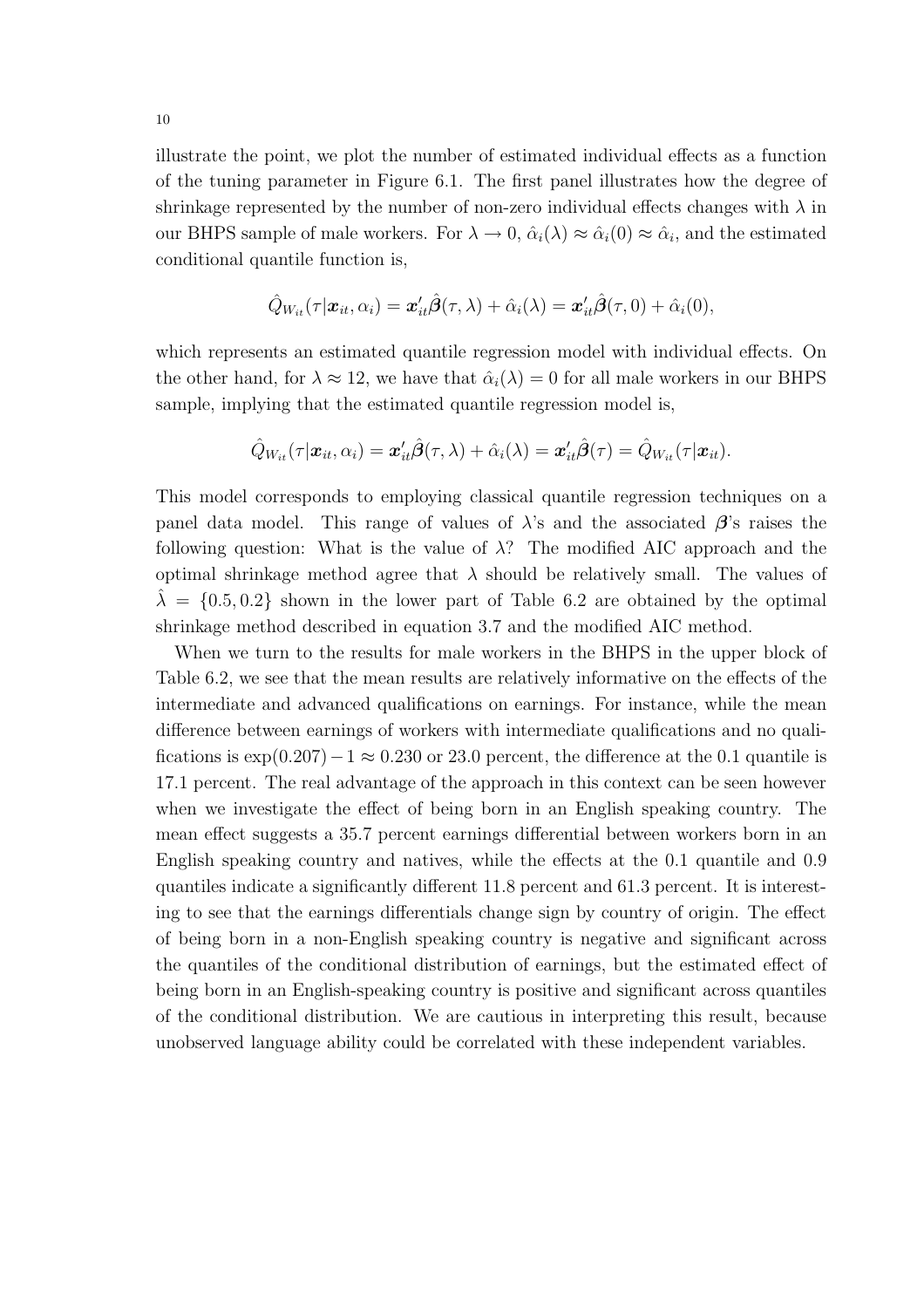illustrate the point, we plot the number of estimated individual effects as a function of the tuning parameter in Figure 6.1. The first panel illustrates how the degree of shrinkage represented by the number of non-zero individual effects changes with  $\lambda$  in our BHPS sample of male workers. For  $\lambda \to 0$ ,  $\hat{\alpha}_i(\lambda) \approx \hat{\alpha}_i(0) \approx \hat{\alpha}_i$ , and the estimated conditional quantile function is,

$$
\hat{Q}_{W_{it}}(\tau|\boldsymbol{x}_{it},\alpha_i)=\boldsymbol{x}_{it}'\hat{\boldsymbol{\beta}}(\tau,\lambda)+\hat{\alpha}_i(\lambda)=\boldsymbol{x}_{it}'\hat{\boldsymbol{\beta}}(\tau,0)+\hat{\alpha}_i(0),
$$

which represents an estimated quantile regression model with individual effects. On the other hand, for  $\lambda \approx 12$ , we have that  $\hat{\alpha}_i(\lambda) = 0$  for all male workers in our BHPS sample, implying that the estimated quantile regression model is,

$$
\hat{Q}_{W_{it}}(\tau|\boldsymbol{x}_{it},\alpha_i)=\boldsymbol{x}_{it}'\hat{\boldsymbol{\beta}}(\tau,\lambda)+\hat{\alpha}_i(\lambda)=\boldsymbol{x}_{it}'\hat{\boldsymbol{\beta}}(\tau)=\hat{Q}_{W_{it}}(\tau|\boldsymbol{x}_{it}).
$$

This model corresponds to employing classical quantile regression techniques on a panel data model. This range of values of  $\lambda$ 's and the associated  $\beta$ 's raises the following question: What is the value of  $\lambda$ ? The modified AIC approach and the optimal shrinkage method agree that  $\lambda$  should be relatively small. The values of  $\lambda = \{0.5, 0.2\}$  shown in the lower part of Table 6.2 are obtained by the optimal shrinkage method described in equation 3.7 and the modified AIC method.

When we turn to the results for male workers in the BHPS in the upper block of Table 6.2, we see that the mean results are relatively informative on the effects of the intermediate and advanced qualifications on earnings. For instance, while the mean difference between earnings of workers with intermediate qualifications and no qualifications is  $\exp(0.207)-1 \approx 0.230$  or 23.0 percent, the difference at the 0.1 quantile is 17.1 percent. The real advantage of the approach in this context can be seen however when we investigate the effect of being born in an English speaking country. The mean effect suggests a 35.7 percent earnings differential between workers born in an English speaking country and natives, while the effects at the 0.1 quantile and 0.9 quantiles indicate a significantly different 11.8 percent and 61.3 percent. It is interesting to see that the earnings differentials change sign by country of origin. The effect of being born in a non-English speaking country is negative and significant across the quantiles of the conditional distribution of earnings, but the estimated effect of being born in an English-speaking country is positive and significant across quantiles of the conditional distribution. We are cautious in interpreting this result, because unobserved language ability could be correlated with these independent variables.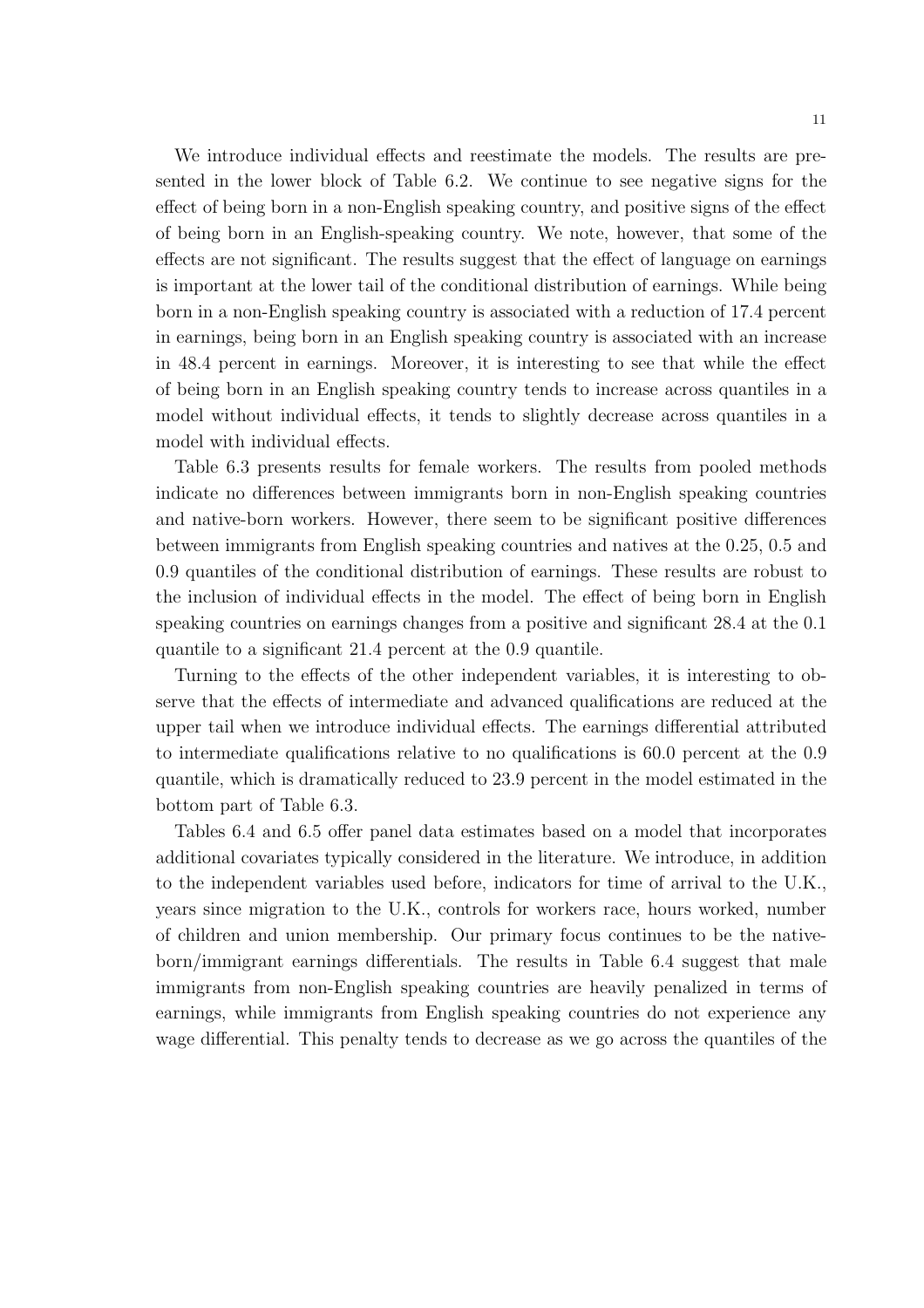We introduce individual effects and reestimate the models. The results are presented in the lower block of Table 6.2. We continue to see negative signs for the effect of being born in a non-English speaking country, and positive signs of the effect of being born in an English-speaking country. We note, however, that some of the effects are not significant. The results suggest that the effect of language on earnings is important at the lower tail of the conditional distribution of earnings. While being born in a non-English speaking country is associated with a reduction of 17.4 percent in earnings, being born in an English speaking country is associated with an increase in 48.4 percent in earnings. Moreover, it is interesting to see that while the effect of being born in an English speaking country tends to increase across quantiles in a model without individual effects, it tends to slightly decrease across quantiles in a model with individual effects.

Table 6.3 presents results for female workers. The results from pooled methods indicate no differences between immigrants born in non-English speaking countries and native-born workers. However, there seem to be significant positive differences between immigrants from English speaking countries and natives at the 0.25, 0.5 and 0.9 quantiles of the conditional distribution of earnings. These results are robust to the inclusion of individual effects in the model. The effect of being born in English speaking countries on earnings changes from a positive and significant 28.4 at the 0.1 quantile to a significant 21.4 percent at the 0.9 quantile.

Turning to the effects of the other independent variables, it is interesting to observe that the effects of intermediate and advanced qualifications are reduced at the upper tail when we introduce individual effects. The earnings differential attributed to intermediate qualifications relative to no qualifications is 60.0 percent at the 0.9 quantile, which is dramatically reduced to 23.9 percent in the model estimated in the bottom part of Table 6.3.

Tables 6.4 and 6.5 offer panel data estimates based on a model that incorporates additional covariates typically considered in the literature. We introduce, in addition to the independent variables used before, indicators for time of arrival to the U.K., years since migration to the U.K., controls for workers race, hours worked, number of children and union membership. Our primary focus continues to be the nativeborn/immigrant earnings differentials. The results in Table 6.4 suggest that male immigrants from non-English speaking countries are heavily penalized in terms of earnings, while immigrants from English speaking countries do not experience any wage differential. This penalty tends to decrease as we go across the quantiles of the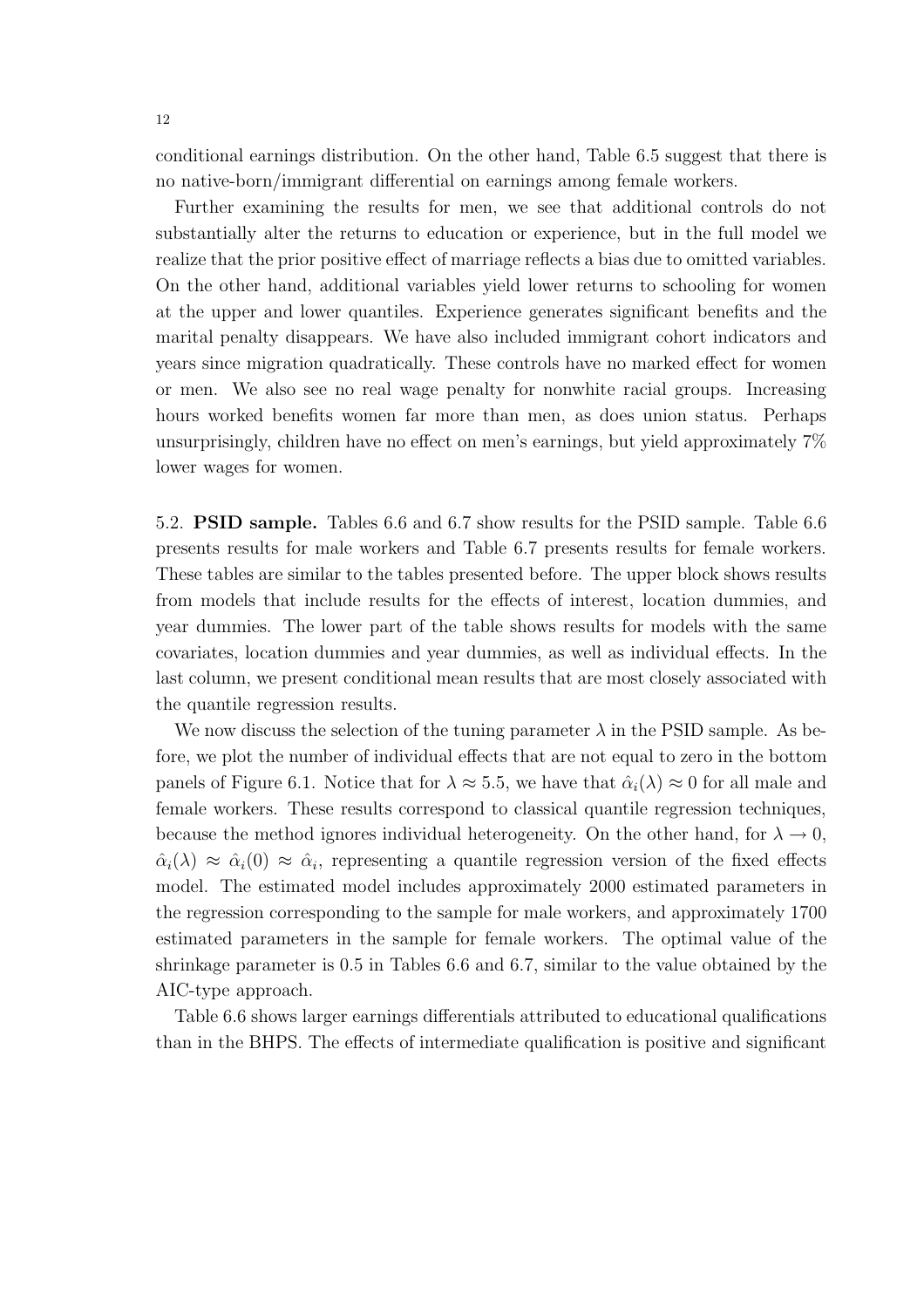conditional earnings distribution. On the other hand, Table 6.5 suggest that there is no native-born/immigrant differential on earnings among female workers.

Further examining the results for men, we see that additional controls do not substantially alter the returns to education or experience, but in the full model we realize that the prior positive effect of marriage reflects a bias due to omitted variables. On the other hand, additional variables yield lower returns to schooling for women at the upper and lower quantiles. Experience generates significant benefits and the marital penalty disappears. We have also included immigrant cohort indicators and years since migration quadratically. These controls have no marked effect for women or men. We also see no real wage penalty for nonwhite racial groups. Increasing hours worked benefits women far more than men, as does union status. Perhaps unsurprisingly, children have no effect on men's earnings, but yield approximately 7% lower wages for women.

5.2. PSID sample. Tables 6.6 and 6.7 show results for the PSID sample. Table 6.6 presents results for male workers and Table 6.7 presents results for female workers. These tables are similar to the tables presented before. The upper block shows results from models that include results for the effects of interest, location dummies, and year dummies. The lower part of the table shows results for models with the same covariates, location dummies and year dummies, as well as individual effects. In the last column, we present conditional mean results that are most closely associated with the quantile regression results.

We now discuss the selection of the tuning parameter  $\lambda$  in the PSID sample. As before, we plot the number of individual effects that are not equal to zero in the bottom panels of Figure 6.1. Notice that for  $\lambda \approx 5.5$ , we have that  $\hat{\alpha}_i(\lambda) \approx 0$  for all male and female workers. These results correspond to classical quantile regression techniques, because the method ignores individual heterogeneity. On the other hand, for  $\lambda \to 0$ ,  $\hat{\alpha}_i(\lambda) \approx \hat{\alpha}_i(0) \approx \hat{\alpha}_i$ , representing a quantile regression version of the fixed effects model. The estimated model includes approximately 2000 estimated parameters in the regression corresponding to the sample for male workers, and approximately 1700 estimated parameters in the sample for female workers. The optimal value of the shrinkage parameter is 0.5 in Tables 6.6 and 6.7, similar to the value obtained by the AIC-type approach.

Table 6.6 shows larger earnings differentials attributed to educational qualifications than in the BHPS. The effects of intermediate qualification is positive and significant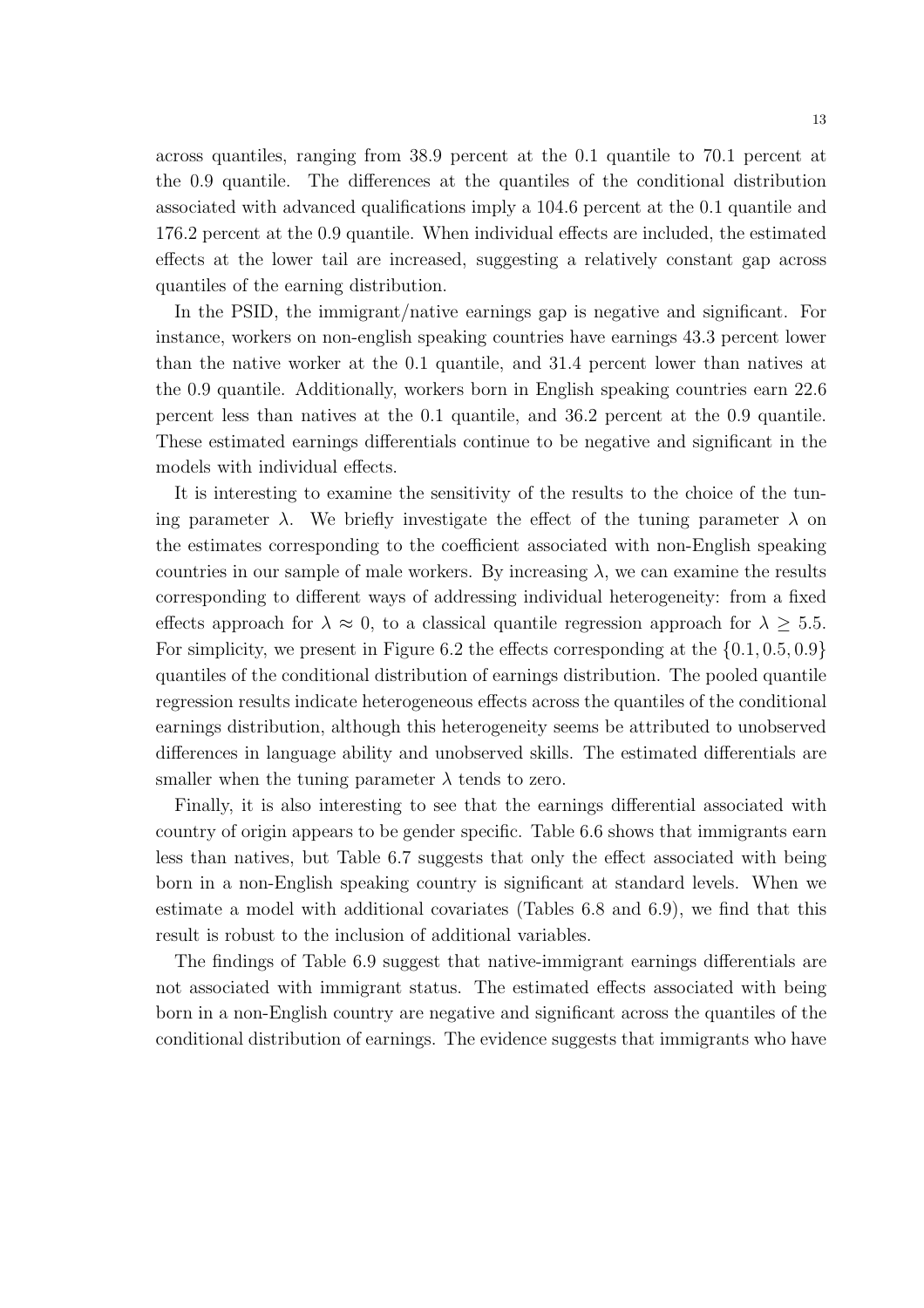across quantiles, ranging from 38.9 percent at the 0.1 quantile to 70.1 percent at the 0.9 quantile. The differences at the quantiles of the conditional distribution associated with advanced qualifications imply a 104.6 percent at the 0.1 quantile and 176.2 percent at the 0.9 quantile. When individual effects are included, the estimated effects at the lower tail are increased, suggesting a relatively constant gap across quantiles of the earning distribution.

In the PSID, the immigrant/native earnings gap is negative and significant. For instance, workers on non-english speaking countries have earnings 43.3 percent lower than the native worker at the 0.1 quantile, and 31.4 percent lower than natives at the 0.9 quantile. Additionally, workers born in English speaking countries earn 22.6 percent less than natives at the 0.1 quantile, and 36.2 percent at the 0.9 quantile. These estimated earnings differentials continue to be negative and significant in the models with individual effects.

It is interesting to examine the sensitivity of the results to the choice of the tuning parameter  $\lambda$ . We briefly investigate the effect of the tuning parameter  $\lambda$  on the estimates corresponding to the coefficient associated with non-English speaking countries in our sample of male workers. By increasing  $\lambda$ , we can examine the results corresponding to different ways of addressing individual heterogeneity: from a fixed effects approach for  $\lambda \approx 0$ , to a classical quantile regression approach for  $\lambda \geq 5.5$ . For simplicity, we present in Figure 6.2 the effects corresponding at the  $\{0.1, 0.5, 0.9\}$ quantiles of the conditional distribution of earnings distribution. The pooled quantile regression results indicate heterogeneous effects across the quantiles of the conditional earnings distribution, although this heterogeneity seems be attributed to unobserved differences in language ability and unobserved skills. The estimated differentials are smaller when the tuning parameter  $\lambda$  tends to zero.

Finally, it is also interesting to see that the earnings differential associated with country of origin appears to be gender specific. Table 6.6 shows that immigrants earn less than natives, but Table 6.7 suggests that only the effect associated with being born in a non-English speaking country is significant at standard levels. When we estimate a model with additional covariates (Tables 6.8 and 6.9), we find that this result is robust to the inclusion of additional variables.

The findings of Table 6.9 suggest that native-immigrant earnings differentials are not associated with immigrant status. The estimated effects associated with being born in a non-English country are negative and significant across the quantiles of the conditional distribution of earnings. The evidence suggests that immigrants who have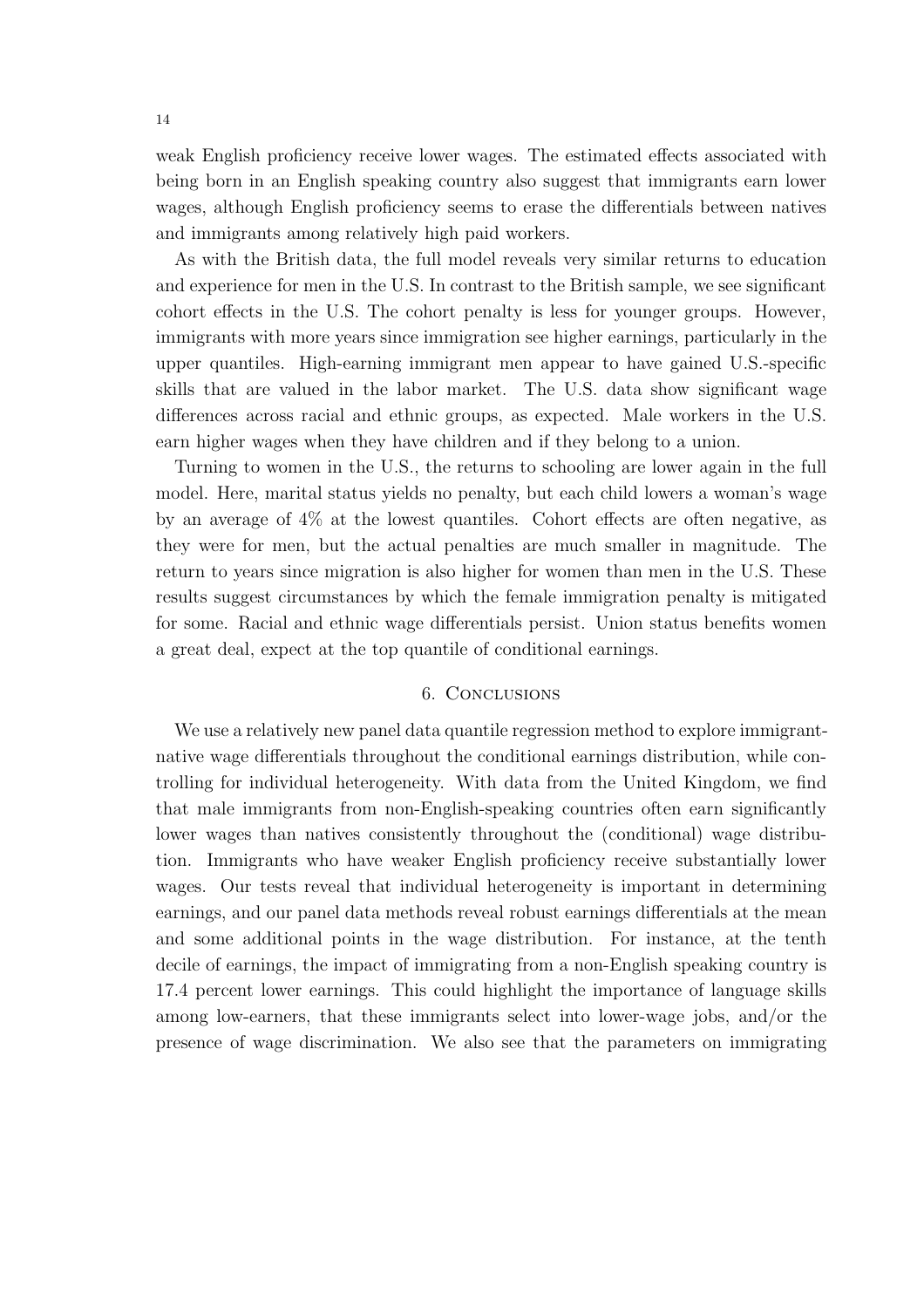weak English proficiency receive lower wages. The estimated effects associated with being born in an English speaking country also suggest that immigrants earn lower wages, although English proficiency seems to erase the differentials between natives and immigrants among relatively high paid workers.

As with the British data, the full model reveals very similar returns to education and experience for men in the U.S. In contrast to the British sample, we see significant cohort effects in the U.S. The cohort penalty is less for younger groups. However, immigrants with more years since immigration see higher earnings, particularly in the upper quantiles. High-earning immigrant men appear to have gained U.S.-specific skills that are valued in the labor market. The U.S. data show significant wage differences across racial and ethnic groups, as expected. Male workers in the U.S. earn higher wages when they have children and if they belong to a union.

Turning to women in the U.S., the returns to schooling are lower again in the full model. Here, marital status yields no penalty, but each child lowers a woman's wage by an average of 4% at the lowest quantiles. Cohort effects are often negative, as they were for men, but the actual penalties are much smaller in magnitude. The return to years since migration is also higher for women than men in the U.S. These results suggest circumstances by which the female immigration penalty is mitigated for some. Racial and ethnic wage differentials persist. Union status benefits women a great deal, expect at the top quantile of conditional earnings.

## 6. Conclusions

We use a relatively new panel data quantile regression method to explore immigrantnative wage differentials throughout the conditional earnings distribution, while controlling for individual heterogeneity. With data from the United Kingdom, we find that male immigrants from non-English-speaking countries often earn significantly lower wages than natives consistently throughout the (conditional) wage distribution. Immigrants who have weaker English proficiency receive substantially lower wages. Our tests reveal that individual heterogeneity is important in determining earnings, and our panel data methods reveal robust earnings differentials at the mean and some additional points in the wage distribution. For instance, at the tenth decile of earnings, the impact of immigrating from a non-English speaking country is 17.4 percent lower earnings. This could highlight the importance of language skills among low-earners, that these immigrants select into lower-wage jobs, and/or the presence of wage discrimination. We also see that the parameters on immigrating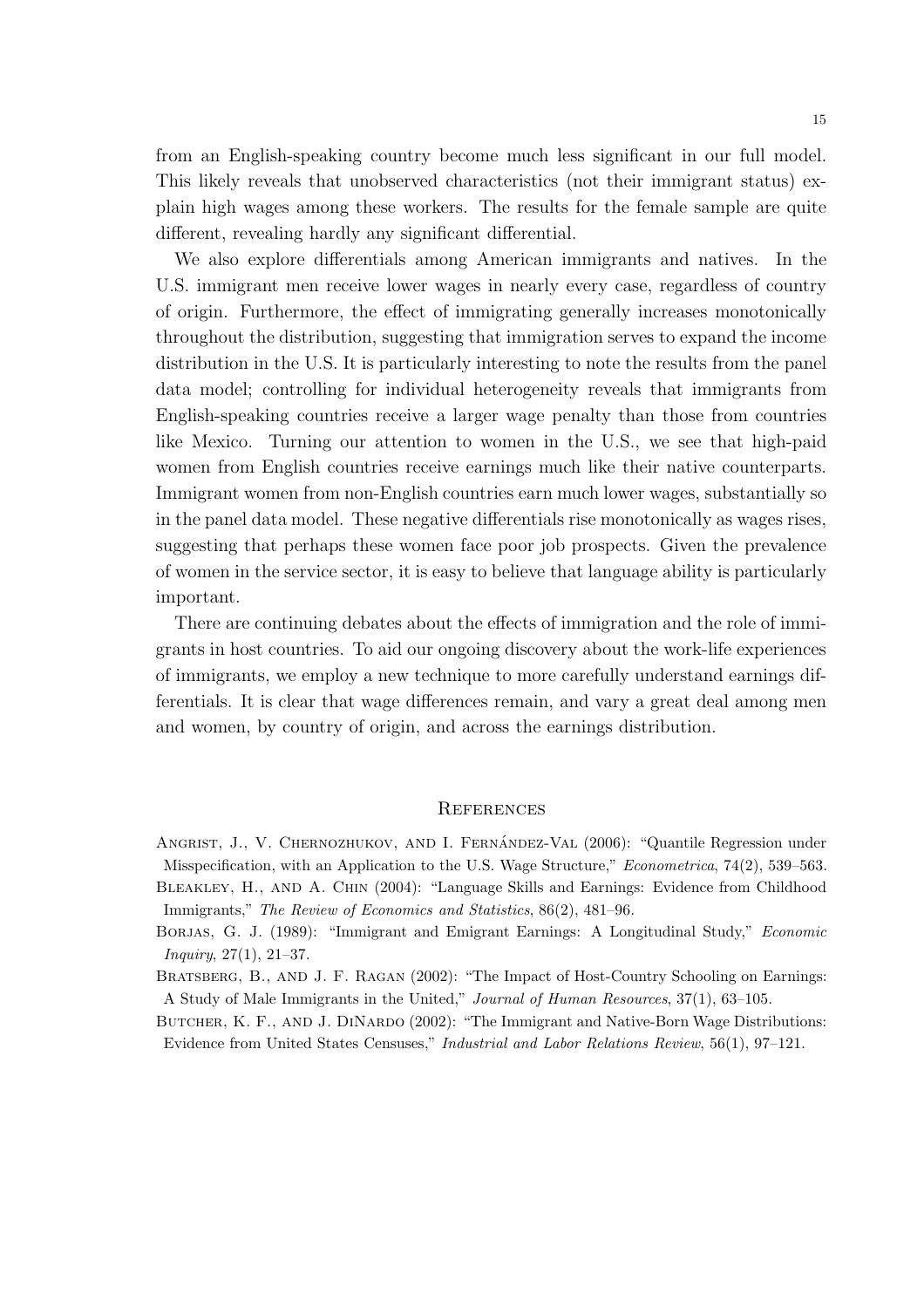from an English-speaking country become much less significant in our full model. This likely reveals that unobserved characteristics (not their immigrant status) explain high wages among these workers. The results for the female sample are quite different, revealing hardly any significant differential.

We also explore differentials among American immigrants and natives. In the U.S. immigrant men receive lower wages in nearly every case, regardless of country of origin. Furthermore, the effect of immigrating generally increases monotonically throughout the distribution, suggesting that immigration serves to expand the income distribution in the U.S. It is particularly interesting to note the results from the panel data model; controlling for individual heterogeneity reveals that immigrants from English-speaking countries receive a larger wage penalty than those from countries like Mexico. Turning our attention to women in the U.S., we see that high-paid women from English countries receive earnings much like their native counterparts. Immigrant women from non-English countries earn much lower wages, substantially so in the panel data model. These negative differentials rise monotonically as wages rises, suggesting that perhaps these women face poor job prospects. Given the prevalence of women in the service sector, it is easy to believe that language ability is particularly important.

There are continuing debates about the effects of immigration and the role of immigrants in host countries. To aid our ongoing discovery about the work-life experiences of immigrants, we employ a new technique to more carefully understand earnings differentials. It is clear that wage differences remain, and vary a great deal among men and women, by country of origin, and across the earnings distribution.

#### **REFERENCES**

- ANGRIST, J., V. CHERNOZHUKOV, AND I. FERNÁNDEZ-VAL (2006): "Quantile Regression under Misspecification, with an Application to the U.S. Wage Structure," Econometrica, 74(2), 539–563. Bleakley, H., and A. Chin (2004): "Language Skills and Earnings: Evidence from Childhood Immigrants," The Review of Economics and Statistics, 86(2), 481–96.
- BORJAS, G. J. (1989): "Immigrant and Emigrant Earnings: A Longitudinal Study," *Economic* Inquiry, 27(1), 21–37.
- Bratsberg, B., and J. F. Ragan (2002): "The Impact of Host-Country Schooling on Earnings: A Study of Male Immigrants in the United," Journal of Human Resources, 37(1), 63–105.
- BUTCHER, K. F., AND J. DINARDO (2002): "The Immigrant and Native-Born Wage Distributions: Evidence from United States Censuses," Industrial and Labor Relations Review, 56(1), 97–121.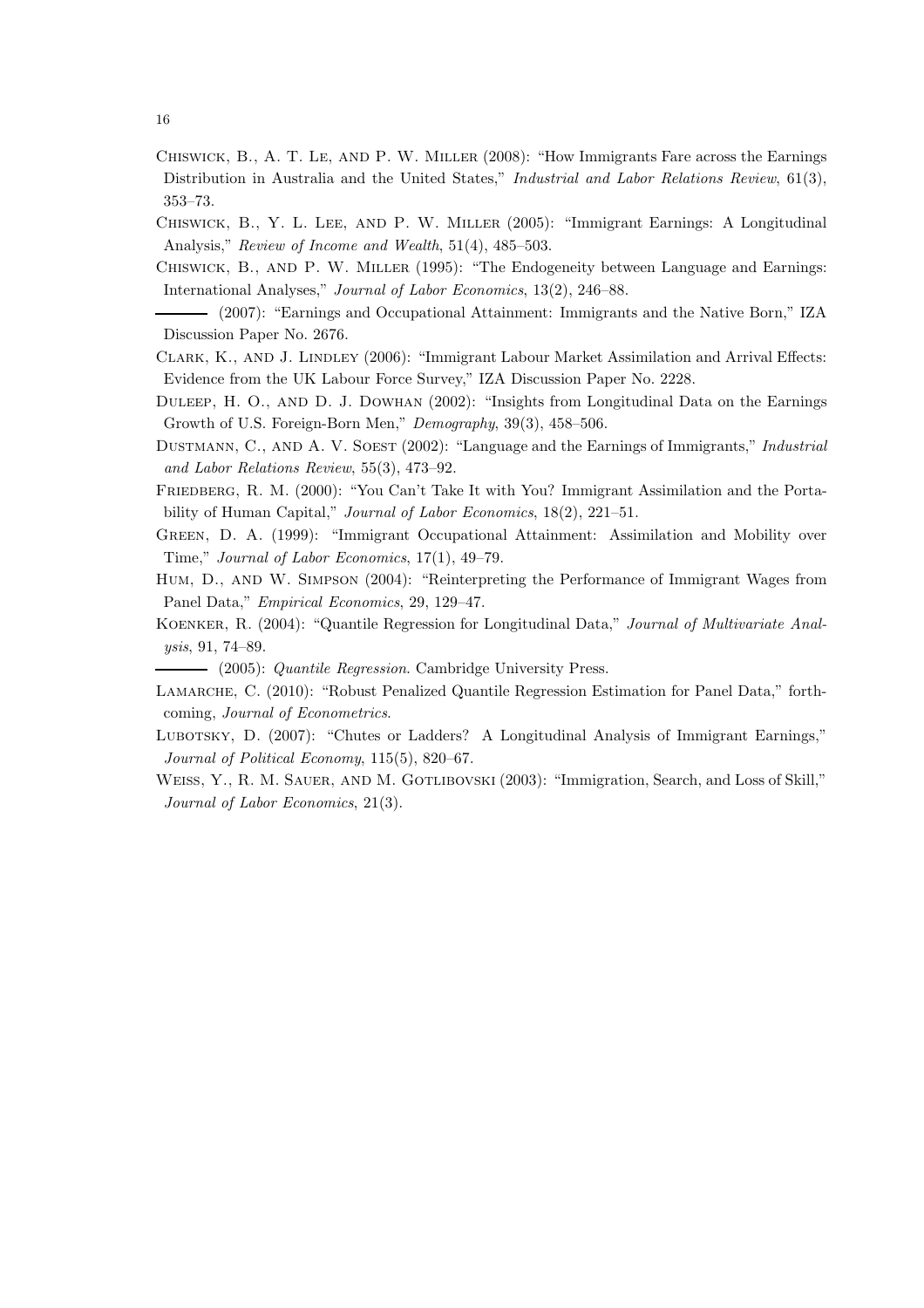- Chiswick, B., A. T. Le, and P. W. Miller (2008): "How Immigrants Fare across the Earnings Distribution in Australia and the United States," Industrial and Labor Relations Review, 61(3), 353–73.
- Chiswick, B., Y. L. Lee, and P. W. Miller (2005): "Immigrant Earnings: A Longitudinal Analysis," Review of Income and Wealth, 51(4), 485–503.
- Chiswick, B., and P. W. Miller (1995): "The Endogeneity between Language and Earnings: International Analyses," Journal of Labor Economics, 13(2), 246–88.
- (2007): "Earnings and Occupational Attainment: Immigrants and the Native Born," IZA Discussion Paper No. 2676.
- Clark, K., and J. Lindley (2006): "Immigrant Labour Market Assimilation and Arrival Effects: Evidence from the UK Labour Force Survey," IZA Discussion Paper No. 2228.
- Duleep, H. O., and D. J. Dowhan (2002): "Insights from Longitudinal Data on the Earnings Growth of U.S. Foreign-Born Men," Demography, 39(3), 458–506.
- DUSTMANN, C., AND A. V. SOEST (2002): "Language and the Earnings of Immigrants," Industrial and Labor Relations Review, 55(3), 473–92.
- FRIEDBERG, R. M. (2000): "You Can't Take It with You? Immigrant Assimilation and the Portability of Human Capital," *Journal of Labor Economics*, 18(2), 221–51.
- Green, D. A. (1999): "Immigrant Occupational Attainment: Assimilation and Mobility over Time," Journal of Labor Economics, 17(1), 49–79.
- Hum, D., and W. Simpson (2004): "Reinterpreting the Performance of Immigrant Wages from Panel Data," Empirical Economics, 29, 129–47.
- Koenker, R. (2004): "Quantile Regression for Longitudinal Data," Journal of Multivariate Analysis, 91, 74–89.
- (2005): Quantile Regression. Cambridge University Press.
- LAMARCHE, C. (2010): "Robust Penalized Quantile Regression Estimation for Panel Data," forthcoming, Journal of Econometrics.
- LUBOTSKY, D. (2007): "Chutes or Ladders? A Longitudinal Analysis of Immigrant Earnings," Journal of Political Economy, 115(5), 820–67.
- WEISS, Y., R. M. SAUER, AND M. GOTLIBOVSKI (2003): "Immigration, Search, and Loss of Skill," Journal of Labor Economics, 21(3).

16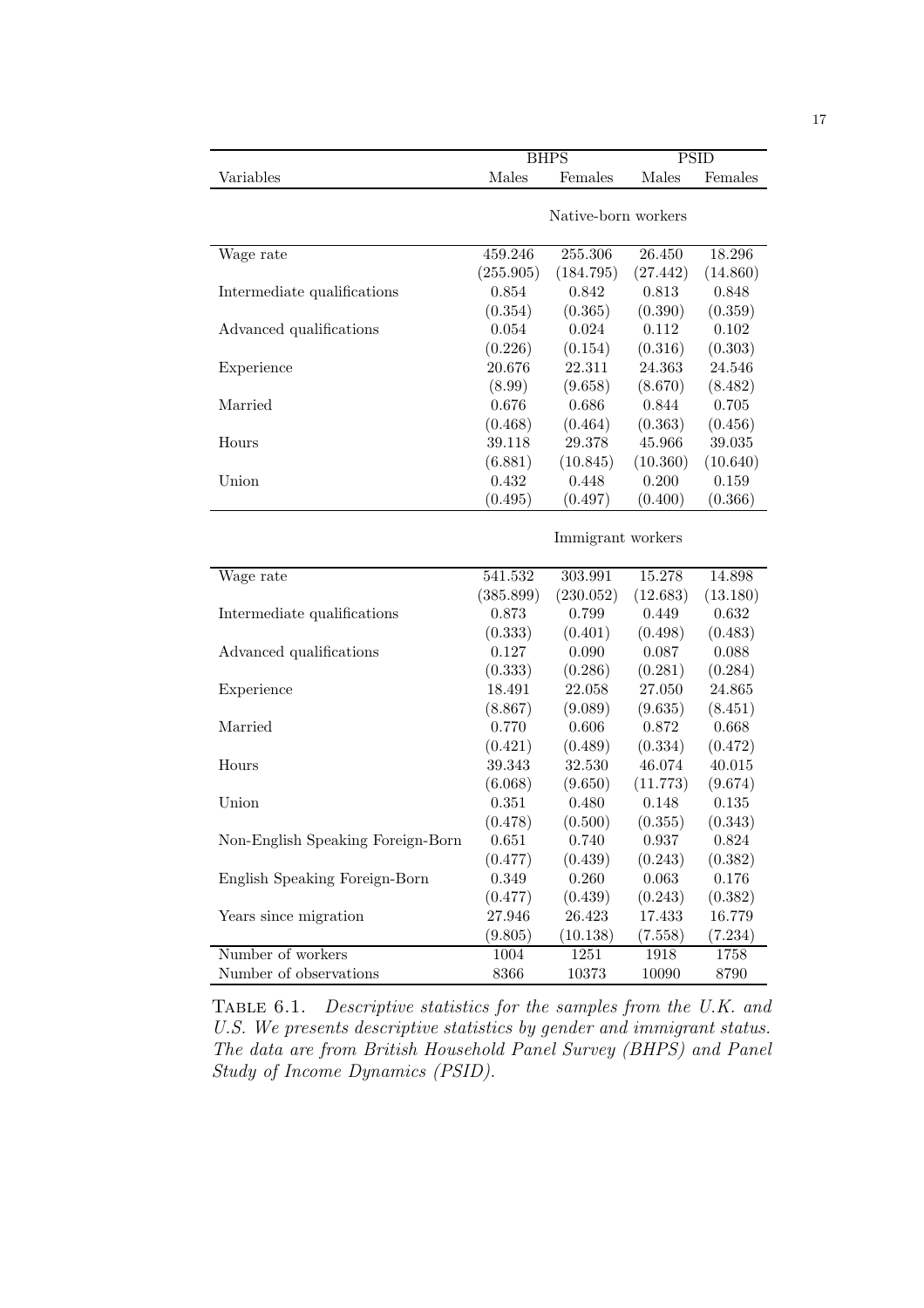|                                   |           | <b>BHPS</b>         | <b>PSID</b> |             |  |
|-----------------------------------|-----------|---------------------|-------------|-------------|--|
| Variables                         | Males     | Females             | Males       | Females     |  |
|                                   |           |                     |             |             |  |
|                                   |           | Native-born workers |             |             |  |
|                                   |           |                     |             |             |  |
| Wage rate                         | 459.246   | 255.306             | 26.450      | 18.296      |  |
|                                   | (255.905) | (184.795)           | (27.442)    | (14.860)    |  |
| Intermediate qualifications       | 0.854     | 0.842               | 0.813       | 0.848       |  |
|                                   | (0.354)   | (0.365)             | (0.390)     | (0.359)     |  |
| Advanced qualifications           | 0.054     | 0.024               | 0.112       | 0.102       |  |
|                                   | (0.226)   | (0.154)             | (0.316)     | (0.303)     |  |
| Experience                        | 20.676    | 22.311              | 24.363      | 24.546      |  |
|                                   | (8.99)    | (9.658)             | (8.670)     | (8.482)     |  |
| Married                           | 0.676     | 0.686               | 0.844       | 0.705       |  |
|                                   | (0.468)   | (0.464)             | (0.363)     | (0.456)     |  |
| Hours                             | 39.118    | 29.378              | 45.966      | 39.035      |  |
|                                   | (6.881)   | (10.845)            | (10.360)    | (10.640)    |  |
| Union                             | 0.432     | 0.448               | 0.200       | 0.159       |  |
|                                   | (0.495)   | (0.497)             | (0.400)     | (0.366)     |  |
|                                   |           |                     |             |             |  |
|                                   |           | Immigrant workers   |             |             |  |
|                                   |           |                     |             |             |  |
| Wage rate                         | 541.532   | 303.991             | 15.278      | 14.898      |  |
|                                   | (385.899) | (230.052)           | (12.683)    | (13.180)    |  |
| Intermediate qualifications       | 0.873     | 0.799               | 0.449       | 0.632       |  |
|                                   | (0.333)   | (0.401)             | (0.498)     | (0.483)     |  |
| Advanced qualifications           | 0.127     | 0.090               | 0.087       | 0.088       |  |
|                                   | (0.333)   | (0.286)             | (0.281)     | (0.284)     |  |
| Experience                        | 18.491    | 22.058              | 27.050      | 24.865      |  |
|                                   | (8.867)   | (9.089)             | (9.635)     | (8.451)     |  |
| Married                           | 0.770     | 0.606               | 0.872       | 0.668       |  |
|                                   | (0.421)   | (0.489)             | (0.334)     | (0.472)     |  |
| Hours                             | 39.343    | 32.530              | 46.074      | 40.015      |  |
|                                   | (6.068)   | (9.650)             | (11.773)    | (9.674)     |  |
| Union                             | 0.351     | 0.480               | 0.148       | 0.135       |  |
|                                   | (0.478)   | (0.500)             | (0.355)     | (0.343)     |  |
| Non-English Speaking Foreign-Born | 0.651     | 0.740               | 0.937       | $\,0.824\,$ |  |
|                                   | (0.477)   | (0.439)             | (0.243)     | (0.382)     |  |
| English Speaking Foreign-Born     | 0.349     | 0.260               | $\,0.063\,$ | 0.176       |  |
|                                   | (0.477)   | (0.439)             | (0.243)     | (0.382)     |  |
| Years since migration             | 27.946    | 26.423              | 17.433      | 16.779      |  |
|                                   | (9.805)   | (10.138)            | (7.558)     | (7.234)     |  |
| Number of workers                 | 1004      | 1251                | 1918        | 1758        |  |
| Number of observations            | 8366      | 10373               | 10090       | 8790        |  |

Table 6.1. Descriptive statistics for the samples from the U.K. and U.S. We presents descriptive statistics by gender and immigrant status. The data are from British Household Panel Survey (BHPS) and Panel Study of Income Dynamics (PSID).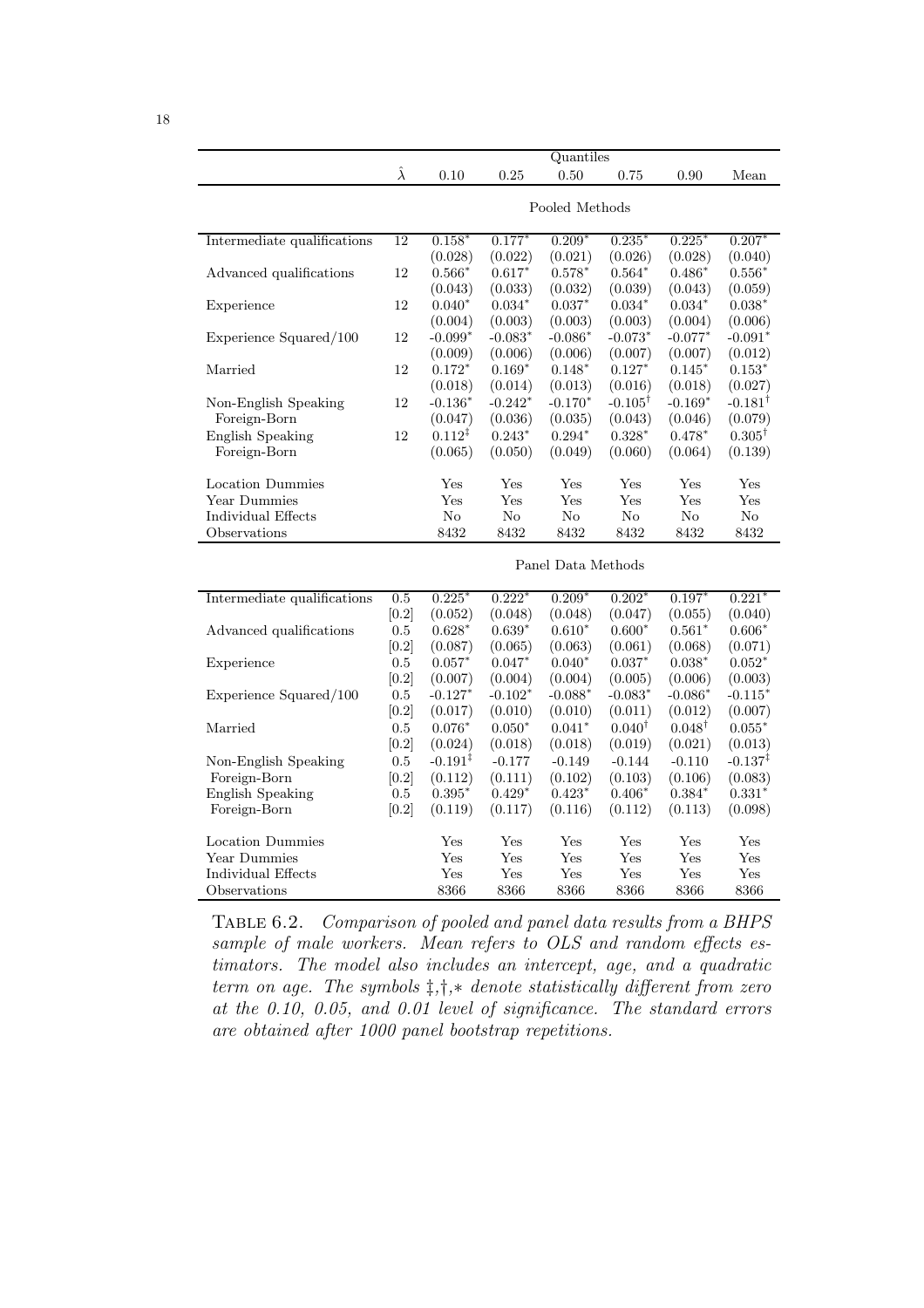| $\hat{\lambda}$<br>0.50<br>0.10<br>0.25<br>0.75<br>0.90<br>Mean<br>Pooled Methods<br>Intermediate qualifications<br>$0.209*$<br>$0.225*$<br>$0.207*$<br>12<br>$0.158*$<br>$0.177*$<br>$0.235*$<br>(0.028)<br>(0.022)<br>(0.021)<br>(0.026)<br>(0.028)<br>(0.040)<br>$0.564*$<br>12<br>$0.566*$<br>$0.617*$<br>$0.578*$<br>$0.486*$<br>$0.556*$<br>Advanced qualifications<br>(0.033)<br>(0.039)<br>(0.043)<br>(0.032)<br>(0.043)<br>(0.059)<br>12<br>$0.034*$<br>$0.040*$<br>$0.037*$<br>$0.034*$<br>$0.034*$<br>$0.038*$<br>Experience<br>(0.004)<br>(0.003)<br>(0.003)<br>(0.003)<br>(0.004)<br>(0.006) |                        | Quantiles |           |           |           |           |           |           |  |  |
|-----------------------------------------------------------------------------------------------------------------------------------------------------------------------------------------------------------------------------------------------------------------------------------------------------------------------------------------------------------------------------------------------------------------------------------------------------------------------------------------------------------------------------------------------------------------------------------------------------------|------------------------|-----------|-----------|-----------|-----------|-----------|-----------|-----------|--|--|
|                                                                                                                                                                                                                                                                                                                                                                                                                                                                                                                                                                                                           |                        |           |           |           |           |           |           |           |  |  |
|                                                                                                                                                                                                                                                                                                                                                                                                                                                                                                                                                                                                           |                        |           |           |           |           |           |           |           |  |  |
|                                                                                                                                                                                                                                                                                                                                                                                                                                                                                                                                                                                                           |                        |           |           |           |           |           |           |           |  |  |
|                                                                                                                                                                                                                                                                                                                                                                                                                                                                                                                                                                                                           |                        |           |           |           |           |           |           |           |  |  |
|                                                                                                                                                                                                                                                                                                                                                                                                                                                                                                                                                                                                           |                        |           |           |           |           |           |           |           |  |  |
|                                                                                                                                                                                                                                                                                                                                                                                                                                                                                                                                                                                                           |                        |           |           |           |           |           |           |           |  |  |
|                                                                                                                                                                                                                                                                                                                                                                                                                                                                                                                                                                                                           |                        |           |           |           |           |           |           |           |  |  |
|                                                                                                                                                                                                                                                                                                                                                                                                                                                                                                                                                                                                           |                        |           |           |           |           |           |           |           |  |  |
|                                                                                                                                                                                                                                                                                                                                                                                                                                                                                                                                                                                                           |                        |           |           |           |           |           |           |           |  |  |
|                                                                                                                                                                                                                                                                                                                                                                                                                                                                                                                                                                                                           | Experience Squared/100 | 12        | $-0.099*$ | $-0.083*$ | $-0.086*$ | $-0.073*$ | $-0.077*$ | $-0.091*$ |  |  |
| (0.009)<br>(0.006)<br>(0.006)<br>(0.007)<br>(0.007)<br>(0.012)                                                                                                                                                                                                                                                                                                                                                                                                                                                                                                                                            |                        |           |           |           |           |           |           |           |  |  |
| Married<br>12<br>$0.172*$<br>$0.169*$<br>$0.148*$<br>$0.127*$<br>$0.145*$<br>$0.153*$                                                                                                                                                                                                                                                                                                                                                                                                                                                                                                                     |                        |           |           |           |           |           |           |           |  |  |
| (0.018)<br>(0.014)<br>(0.013)<br>(0.016)<br>(0.018)<br>(0.027)                                                                                                                                                                                                                                                                                                                                                                                                                                                                                                                                            |                        |           |           |           |           |           |           |           |  |  |
| 12<br>$-0.136*$<br>$-0.242*$<br>$-0.170*$<br>$-0.105^{\dagger}$<br>$-0.169*$<br>$-0.181^{\dagger}$<br>Non-English Speaking                                                                                                                                                                                                                                                                                                                                                                                                                                                                                |                        |           |           |           |           |           |           |           |  |  |
| Foreign-Born<br>(0.036)<br>(0.043)<br>(0.047)<br>(0.035)<br>(0.046)<br>(0.079)                                                                                                                                                                                                                                                                                                                                                                                                                                                                                                                            |                        |           |           |           |           |           |           |           |  |  |
| $0.112^{\ddagger}$<br>$0.243*$<br>$0.328*$<br>$0.305^{\dagger}$<br><b>English Speaking</b><br>12<br>$0.294*$<br>$0.478*$                                                                                                                                                                                                                                                                                                                                                                                                                                                                                  |                        |           |           |           |           |           |           |           |  |  |
| Foreign-Born<br>(0.065)<br>(0.050)<br>(0.049)<br>(0.060)<br>(0.064)<br>(0.139)                                                                                                                                                                                                                                                                                                                                                                                                                                                                                                                            |                        |           |           |           |           |           |           |           |  |  |
|                                                                                                                                                                                                                                                                                                                                                                                                                                                                                                                                                                                                           |                        |           |           |           |           |           |           |           |  |  |
| Location Dummies<br>Yes<br>Yes<br>$_{\rm Yes}$<br>Yes<br>$_{\rm Yes}$<br>Yes                                                                                                                                                                                                                                                                                                                                                                                                                                                                                                                              |                        |           |           |           |           |           |           |           |  |  |
| Year Dummies<br>Yes<br>Yes<br>Yes<br>Yes<br>Yes<br>Yes                                                                                                                                                                                                                                                                                                                                                                                                                                                                                                                                                    |                        |           |           |           |           |           |           |           |  |  |
| No<br>Individual Effects<br>$\rm No$<br>N <sub>o</sub><br>No<br>No<br>N <sub>o</sub>                                                                                                                                                                                                                                                                                                                                                                                                                                                                                                                      |                        |           |           |           |           |           |           |           |  |  |
| Observations<br>8432<br>8432<br>8432<br>8432<br>8432<br>8432                                                                                                                                                                                                                                                                                                                                                                                                                                                                                                                                              |                        |           |           |           |           |           |           |           |  |  |
|                                                                                                                                                                                                                                                                                                                                                                                                                                                                                                                                                                                                           |                        |           |           |           |           |           |           |           |  |  |
| Panel Data Methods                                                                                                                                                                                                                                                                                                                                                                                                                                                                                                                                                                                        |                        |           |           |           |           |           |           |           |  |  |
| Intermediate qualifications<br>0.5<br>$0.225*$<br>$0.222*$<br>$0.202*$<br>$0.197*$<br>$0.221*$<br>$0.209*$                                                                                                                                                                                                                                                                                                                                                                                                                                                                                                |                        |           |           |           |           |           |           |           |  |  |
| [0.2]<br>(0.052)<br>(0.047)<br>(0.055)<br>(0.040)<br>(0.048)<br>(0.048)                                                                                                                                                                                                                                                                                                                                                                                                                                                                                                                                   |                        |           |           |           |           |           |           |           |  |  |
| $\rm 0.5$<br>$0.628*$<br>$0.639*$<br>$0.610*$<br>$0.600*$<br>$0.561*$<br>$0.606*$<br>Advanced qualifications                                                                                                                                                                                                                                                                                                                                                                                                                                                                                              |                        |           |           |           |           |           |           |           |  |  |
| [0.2]<br>(0.087)<br>(0.065)<br>(0.063)<br>(0.061)<br>(0.068)<br>(0.071)                                                                                                                                                                                                                                                                                                                                                                                                                                                                                                                                   |                        |           |           |           |           |           |           |           |  |  |
| Experience<br>0.5<br>$0.057*$<br>$0.047*$<br>$0.040*$<br>$0.037*$<br>$0.038*$<br>$0.052*$                                                                                                                                                                                                                                                                                                                                                                                                                                                                                                                 |                        |           |           |           |           |           |           |           |  |  |
| [0.2]<br>(0.007)<br>(0.004)<br>(0.004)<br>(0.005)<br>(0.006)<br>(0.003)                                                                                                                                                                                                                                                                                                                                                                                                                                                                                                                                   |                        |           |           |           |           |           |           |           |  |  |
| 0.5<br>$-0.127*$<br>$-0.102*$<br>$-0.088*$<br>$-0.083*$<br>$-0.086*$<br>$-0.115*$<br>Experience Squared/100                                                                                                                                                                                                                                                                                                                                                                                                                                                                                               |                        |           |           |           |           |           |           |           |  |  |
| [0.2]<br>(0.011)<br>(0.007)<br>(0.017)<br>(0.010)<br>(0.010)<br>(0.012)                                                                                                                                                                                                                                                                                                                                                                                                                                                                                                                                   |                        |           |           |           |           |           |           |           |  |  |
| Married<br>0.5<br>$0.076*$<br>$0.050*$<br>$0.040^{\dagger}$<br>$0.048^{\dagger}$<br>$0.041*$<br>$0.055*$                                                                                                                                                                                                                                                                                                                                                                                                                                                                                                  |                        |           |           |           |           |           |           |           |  |  |
| [0.2]<br>(0.018)<br>(0.019)<br>(0.021)<br>(0.024)<br>(0.018)<br>(0.013)                                                                                                                                                                                                                                                                                                                                                                                                                                                                                                                                   |                        |           |           |           |           |           |           |           |  |  |
| Non-English Speaking<br>$-0.191$ <sup>‡</sup><br>$-0.177$<br>$-0.149$<br>$-0.144$<br>$-0.110$<br>$-0.137$ <sup>‡</sup><br>$0.5\,$                                                                                                                                                                                                                                                                                                                                                                                                                                                                         |                        |           |           |           |           |           |           |           |  |  |
| Foreign-Born<br>[0.2]<br>(0.112)<br>(0.111)<br>(0.102)<br>(0.103)<br>(0.106)<br>(0.083)                                                                                                                                                                                                                                                                                                                                                                                                                                                                                                                   |                        |           |           |           |           |           |           |           |  |  |
| <b>English Speaking</b><br>$0.395*$<br>$0.429*$<br>$0.423*$<br>$0.406*$<br>$0.384*$<br>$0.331*$<br>0.5                                                                                                                                                                                                                                                                                                                                                                                                                                                                                                    |                        |           |           |           |           |           |           |           |  |  |
| Foreign-Born<br>[0.2]<br>(0.119)<br>(0.117)<br>(0.116)<br>(0.112)<br>(0.113)<br>(0.098)                                                                                                                                                                                                                                                                                                                                                                                                                                                                                                                   |                        |           |           |           |           |           |           |           |  |  |
| <b>Location Dummies</b><br>Yes<br>Yes<br>Yes<br>Yes<br>Yes<br>Yes                                                                                                                                                                                                                                                                                                                                                                                                                                                                                                                                         |                        |           |           |           |           |           |           |           |  |  |
| Year Dummies<br>Yes<br>Yes<br>Yes<br>Yes<br>Yes<br>Yes                                                                                                                                                                                                                                                                                                                                                                                                                                                                                                                                                    |                        |           |           |           |           |           |           |           |  |  |
| Yes<br>Yes<br>Yes<br>Individual Effects<br>Yes<br>Yes<br>Yes                                                                                                                                                                                                                                                                                                                                                                                                                                                                                                                                              |                        |           |           |           |           |           |           |           |  |  |
| 8366<br>8366<br>8366<br>8366<br>8366<br>8366<br>Observations                                                                                                                                                                                                                                                                                                                                                                                                                                                                                                                                              |                        |           |           |           |           |           |           |           |  |  |

TABLE 6.2. Comparison of pooled and panel data results from a BHPS sample of male workers. Mean refers to OLS and random effects estimators. The model also includes an intercept, age, and a quadratic term on age. The symbols  $\ddagger, \ddagger, *$  denote statistically different from zero at the 0.10, 0.05, and 0.01 level of significance. The standard errors are obtained after 1000 panel bootstrap repetitions.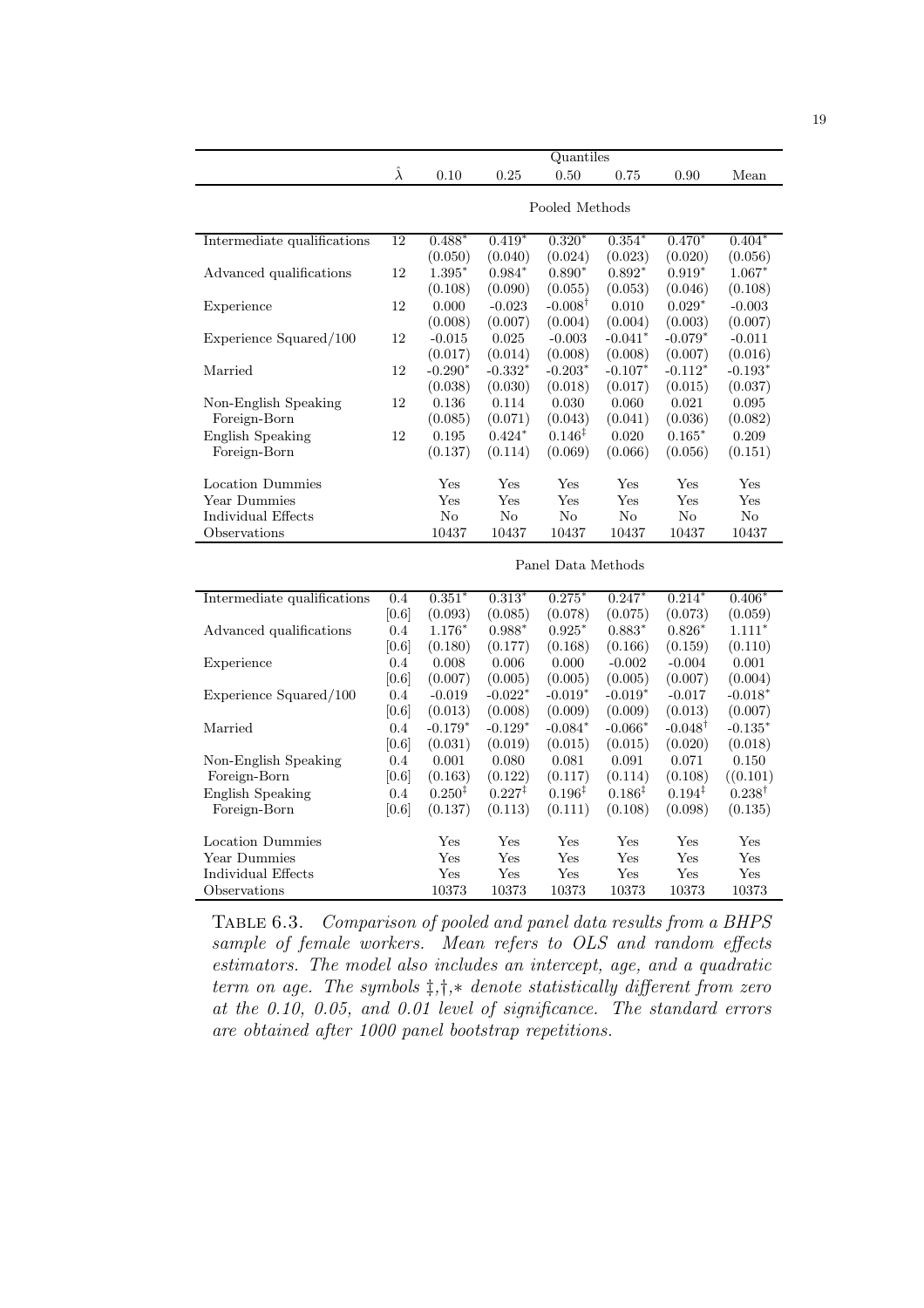|                                         | Quantiles       |                    |                    |                    |                    |                    |                   |  |  |  |
|-----------------------------------------|-----------------|--------------------|--------------------|--------------------|--------------------|--------------------|-------------------|--|--|--|
|                                         | $\hat{\lambda}$ | 0.10               | 0.25               | 0.50               | 0.75               | 0.90               | Mean              |  |  |  |
|                                         |                 |                    |                    |                    |                    |                    |                   |  |  |  |
|                                         |                 | Pooled Methods     |                    |                    |                    |                    |                   |  |  |  |
| Intermediate qualifications             | 12              | $0.488*$           | $0.419*$           | $0.320*$           | $0.354*$           | $0.470*$           | $0.404*$          |  |  |  |
|                                         |                 | (0.050)            | (0.040)            | (0.024)            | (0.023)            | (0.020)            | (0.056)           |  |  |  |
| Advanced qualifications                 | 12              | $1.395*$           | $0.984*$           | $0.890*$           | $0.892*$           | $0.919*$           | $1.067*$          |  |  |  |
|                                         |                 | (0.108)            | (0.090)            | (0.055)            | (0.053)            | (0.046)            | (0.108)           |  |  |  |
| Experience                              | 12              | 0.000              | $-0.023$           | $-0.008^{\dagger}$ | 0.010              | $0.029*$           | $-0.003$          |  |  |  |
|                                         |                 | (0.008)            | (0.007)            | (0.004)            | (0.004)            | (0.003)            | (0.007)           |  |  |  |
| Experience Squared/100                  | 12              | $-0.015$           | 0.025              | $-0.003$           | $-0.041*$          | $-0.079*$          | $-0.011$          |  |  |  |
|                                         |                 | (0.017)            | (0.014)            | (0.008)            | (0.008)            | (0.007)            | (0.016)           |  |  |  |
| Married                                 | 12              | $-0.290*$          | $-0.332*$          | $-0.203*$          | $-0.107*$          | $-0.112*$          | $-0.193*$         |  |  |  |
|                                         |                 | (0.038)            | (0.030)            | (0.018)            | (0.017)            | (0.015)            | (0.037)           |  |  |  |
| Non-English Speaking                    | 12              | 0.136              | 0.114              | 0.030              | 0.060              | 0.021              | 0.095             |  |  |  |
| Foreign-Born                            |                 | (0.085)            | (0.071)            | (0.043)            | (0.041)            | (0.036)            | (0.082)           |  |  |  |
| English Speaking                        | 12              | 0.195              | $0.424*$           | $0.146^{\ddagger}$ | 0.020              | $0.165*$           | 0.209             |  |  |  |
| Foreign-Born                            |                 | (0.137)            | (0.114)            | (0.069)            | (0.066)            | (0.056)            | (0.151)           |  |  |  |
|                                         |                 |                    |                    |                    |                    |                    |                   |  |  |  |
| <b>Location Dummies</b><br>Year Dummies |                 | Yes<br>Yes         | Yes<br>Yes         | Yes<br>Yes         | Yes<br>Yes         | Yes<br>Yes         | Yes<br>Yes        |  |  |  |
|                                         |                 |                    |                    |                    |                    |                    |                   |  |  |  |
| Individual Effects                      |                 | No                 | No                 | N <sub>o</sub>     | No                 | No                 | No                |  |  |  |
| Observations                            |                 | 10437              | 10437              | 10437              | 10437              | 10437              | 10437             |  |  |  |
|                                         |                 |                    |                    | Panel Data Methods |                    |                    |                   |  |  |  |
| Intermediate qualifications             | 0.4             | $0.351*$           | $0.313*$           | $0.275*$           | $0.247*$           | $0.214*$           | $0.406*$          |  |  |  |
|                                         | [0.6]           | (0.093)            | (0.085)            | (0.078)            | (0.075)            | (0.073)            | (0.059)           |  |  |  |
| Advanced qualifications                 | 0.4             | $1.176*$           | $0.988*$           | $0.925*$           | $0.883*$           | $0.826*$           | $1.111*$          |  |  |  |
|                                         | [0.6]           | (0.180)            | (0.177)            | (0.168)            | (0.166)            | (0.159)            | (0.110)           |  |  |  |
| Experience                              | 0.4             | 0.008              | 0.006              | 0.000              | $-0.002$           | $-0.004$           | 0.001             |  |  |  |
|                                         | [0.6]           | (0.007)            | (0.005)            | (0.005)            | (0.005)            | (0.007)            | (0.004)           |  |  |  |
| Experience Squared/100                  | 0.4             | $-0.019$           | $-0.022*$          | $-0.019*$          | $-0.019*$          | $-0.017$           | $-0.018*$         |  |  |  |
|                                         | [0.6]           | (0.013)            | (0.008)            | (0.009)            | (0.009)            | (0.013)            | (0.007)           |  |  |  |
| Married                                 | 0.4             | $-0.179*$          | $-0.129*$          | $-0.084*$          | $-0.066*$          | $-0.048^{\dagger}$ | $-0.135*$         |  |  |  |
|                                         | [0.6]           | (0.031)            | (0.019)            | (0.015)            | (0.015)            | (0.020)            | (0.018)           |  |  |  |
| Non-English Speaking                    | 0.4             | 0.001              | 0.080              | 0.081              | 0.091              | 0.071              | 0.150             |  |  |  |
| Foreign-Born                            | [0.6]           | (0.163)            | (0.122)            | (0.117)            | (0.114)            | (0.108)            | ((0.101)          |  |  |  |
| <b>English Speaking</b>                 | 0.4             | $0.250^{\ddagger}$ | $0.227^{\ddagger}$ | $0.196^{\ddagger}$ | $0.186^{\ddagger}$ | $0.194^{\ddagger}$ | $0.238^{\dagger}$ |  |  |  |
| Foreign-Born                            | [0.6]           | (0.137)            | (0.113)            | (0.111)            | (0.108)            | (0.098)            | (0.135)           |  |  |  |
|                                         |                 |                    |                    |                    |                    |                    |                   |  |  |  |
| <b>Location Dummies</b>                 |                 | Yes                | Yes                | Yes                | Yes                | Yes                | Yes               |  |  |  |
| Year Dummies                            |                 | Yes                | Yes                | Yes                | Yes                | Yes                | Yes               |  |  |  |
| Individual Effects                      |                 | Yes                | Yes                | Yes                | Yes                | Yes                | Yes               |  |  |  |
| Observations                            |                 | 10373              | 10373              | 10373              | 10373              | 10373              | 10373             |  |  |  |

Table 6.3. Comparison of pooled and panel data results from a BHPS sample of female workers. Mean refers to OLS and random effects estimators. The model also includes an intercept, age, and a quadratic term on age. The symbols  $\ddagger, \ddagger, *$  denote statistically different from zero at the 0.10, 0.05, and 0.01 level of significance. The standard errors are obtained after 1000 panel bootstrap repetitions.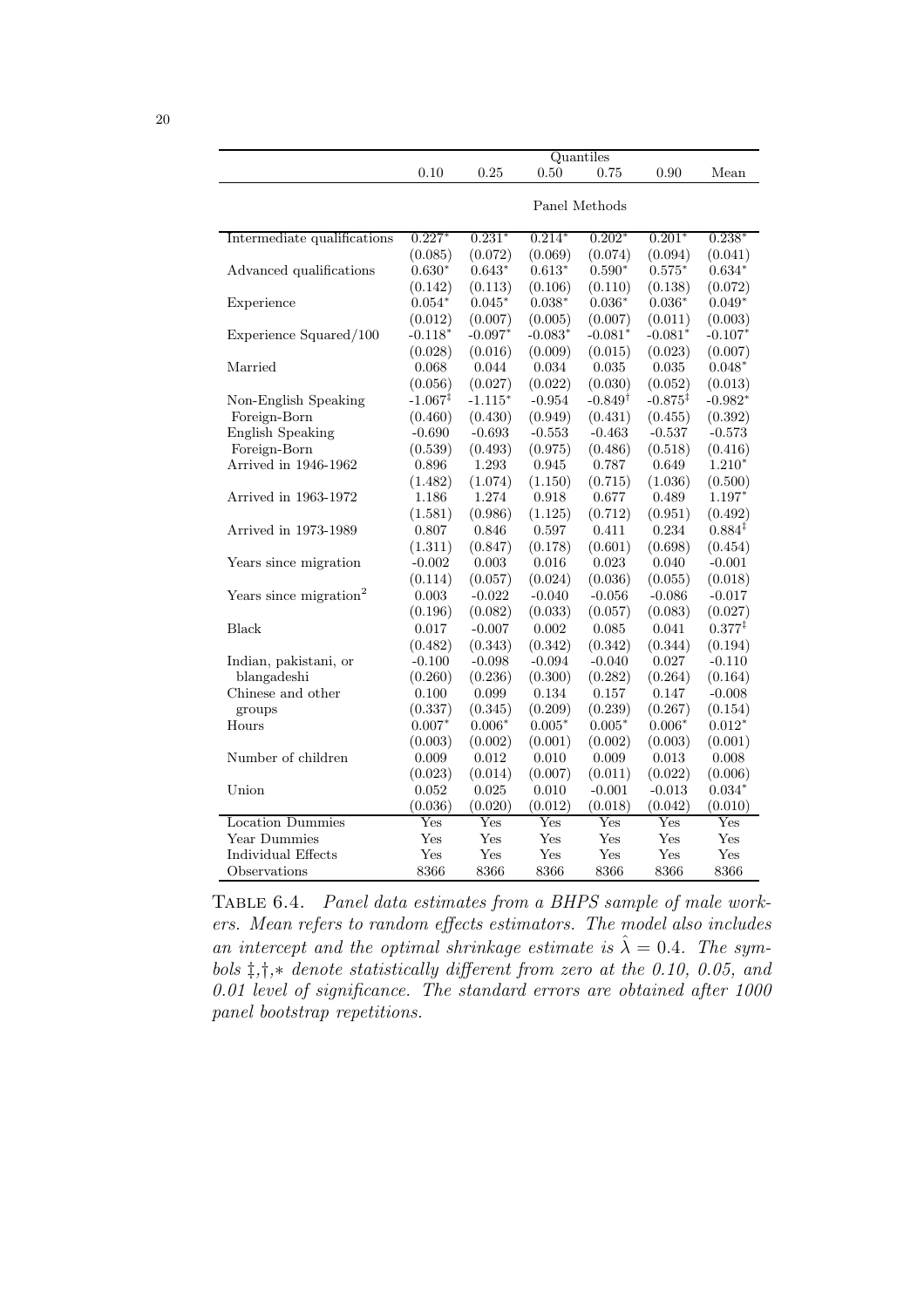|                                    | 0.10                | 0.25      | 0.50      | Quantiles<br>0.75  | 0.90                | Mean               |  |
|------------------------------------|---------------------|-----------|-----------|--------------------|---------------------|--------------------|--|
|                                    |                     |           |           |                    |                     |                    |  |
|                                    | Panel Methods       |           |           |                    |                     |                    |  |
|                                    |                     |           |           |                    |                     |                    |  |
| Intermediate qualifications        | $0.227*$            | $0.231*$  | $0.214*$  | $0.202*$           | $0.201*$            | $0.238*$           |  |
|                                    | (0.085)             | (0.072)   | (0.069)   | (0.074)            | (0.094)             | (0.041)            |  |
| Advanced qualifications            | $0.630*$            | $0.643*$  | $0.613*$  | $0.590*$           | $0.575*$            | $0.634*$           |  |
|                                    | (0.142)             | (0.113)   | (0.106)   | (0.110)            | (0.138)             | (0.072)            |  |
| Experience                         | $0.054*$            | $0.045*$  | $0.038*$  | $0.036*$           | $0.036*$            | $0.049*$           |  |
|                                    | (0.012)             | (0.007)   | (0.005)   | (0.007)            | (0.011)             | (0.003)            |  |
| Experience Squared/100             | $-0.118*$           | $-0.097*$ | $-0.083*$ | $-0.081*$          | $-0.081*$           | $-0.107*$          |  |
|                                    | (0.028)             | (0.016)   | (0.009)   | (0.015)            | (0.023)             | (0.007)            |  |
| Married                            | 0.068               | 0.044     | 0.034     | 0.035              | 0.035               | $0.048*$           |  |
|                                    | (0.056)             | (0.027)   | (0.022)   | (0.030)            | (0.052)             | (0.013)            |  |
| Non-English Speaking               | $-1.067^{\ddagger}$ | $-1.115*$ | $-0.954$  | $-0.849^{\dagger}$ | $-0.875^{\ddagger}$ | $-0.982*$          |  |
| Foreign-Born                       | (0.460)             | (0.430)   | (0.949)   | (0.431)            | (0.455)             | (0.392)            |  |
| <b>English Speaking</b>            | $-0.690$            | $-0.693$  | $-0.553$  | $-0.463$           | $-0.537$            | $-0.573$           |  |
| Foreign-Born                       | (0.539)             | (0.493)   | (0.975)   | (0.486)            | (0.518)             | (0.416)            |  |
| Arrived in 1946-1962               | 0.896               | 1.293     | 0.945     | 0.787              | 0.649               | $1.210*$           |  |
|                                    | (1.482)             | (1.074)   | (1.150)   | (0.715)            | (1.036)             | (0.500)            |  |
| Arrived in 1963-1972               | 1.186               | 1.274     | 0.918     | 0.677              | 0.489               | $1.197*$           |  |
|                                    | (1.581)             | (0.986)   | (1.125)   | (0.712)            | (0.951)             | (0.492)            |  |
| Arrived in 1973-1989               | 0.807               | 0.846     | 0.597     | 0.411              | 0.234               | $0.884*$           |  |
|                                    | (1.311)             | (0.847)   | (0.178)   | (0.601)            | (0.698)             | (0.454)            |  |
| Years since migration              | $-0.002$            | 0.003     | 0.016     | 0.023              | 0.040               | $-0.001$           |  |
|                                    | (0.114)             | (0.057)   | (0.024)   | (0.036)            | (0.055)             | (0.018)            |  |
| Years since migration <sup>2</sup> | 0.003               | $-0.022$  | $-0.040$  | $-0.056$           | $-0.086$            | $-0.017$           |  |
|                                    | (0.196)             | (0.082)   | (0.033)   | (0.057)            | (0.083)             | (0.027)            |  |
| <b>Black</b>                       | 0.017               | $-0.007$  | 0.002     | 0.085              | 0.041               | $0.377^{\ddagger}$ |  |
|                                    | (0.482)             | (0.343)   | (0.342)   | (0.342)            | (0.344)             | (0.194)            |  |
| Indian, pakistani, or              | $-0.100$            | $-0.098$  | $-0.094$  | $-0.040$           | 0.027               | $-0.110$           |  |
| blangadeshi                        | (0.260)             | (0.236)   | (0.300)   | (0.282)            | (0.264)             | (0.164)            |  |
| Chinese and other                  | 0.100               | 0.099     | 0.134     | 0.157              | 0.147               | $-0.008$           |  |
| groups                             | (0.337)             | (0.345)   | (0.209)   | (0.239)            | (0.267)             | (0.154)            |  |
| Hours                              | $0.007*$            | $0.006*$  | $0.005*$  | $0.005*$           | $0.006*$            | $0.012*$           |  |
|                                    | (0.003)             | (0.002)   | (0.001)   | (0.002)            | (0.003)             | (0.001)            |  |
| Number of children                 | 0.009               | 0.012     | 0.010     | 0.009              | 0.013               | 0.008              |  |
|                                    | (0.023)             | (0.014)   | (0.007)   | (0.011)            | (0.022)             | (0.006)            |  |
| Union                              | 0.052               | 0.025     | 0.010     | $-0.001$           | $-0.013$            | $0.034*$           |  |
|                                    | (0.036)             | (0.020)   | (0.012)   | (0.018)            | (0.042)             | (0.010)            |  |
| Location Dummies                   | Yes                 | Yes       | Yes       | Yes                | Yes                 | Yes                |  |
| Year Dummies                       | Yes                 | Yes       | Yes       | Yes                | Yes                 | Yes                |  |
| Individual Effects                 | Yes                 | Yes       | Yes       | Yes                | Yes                 | Yes                |  |
| Observations                       | 8366                | 8366      | 8366      | 8366               | 8366                | 8366               |  |
|                                    |                     |           |           |                    |                     |                    |  |

Table 6.4. Panel data estimates from a BHPS sample of male workers. Mean refers to random effects estimators. The model also includes an intercept and the optimal shrinkage estimate is  $\hat{\lambda} = 0.4$ . The symbols ‡,†,∗ denote statistically different from zero at the 0.10, 0.05, and 0.01 level of significance. The standard errors are obtained after 1000 panel bootstrap repetitions.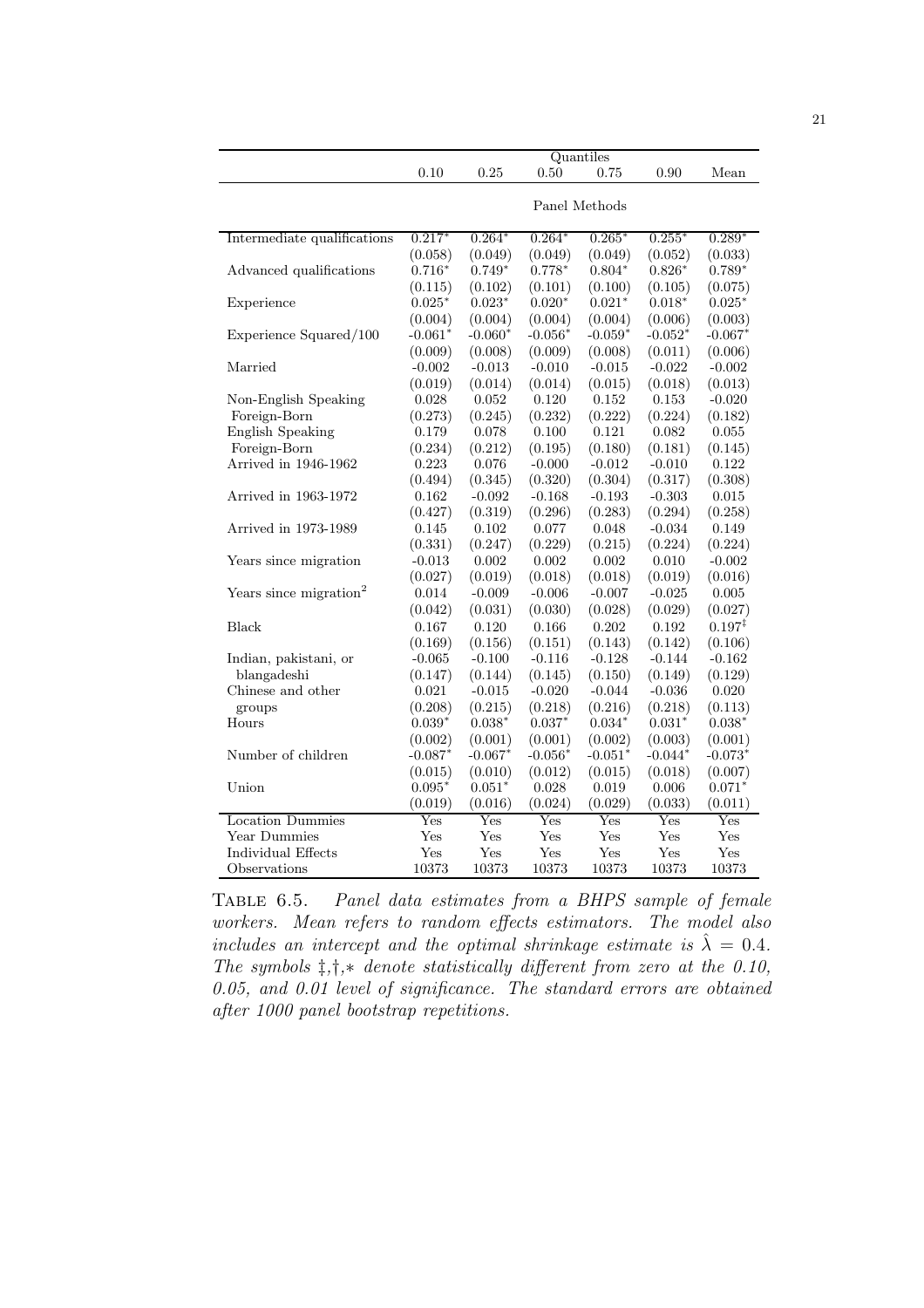|                                    | Quantiles     |           |           |           |           |                    |  |  |
|------------------------------------|---------------|-----------|-----------|-----------|-----------|--------------------|--|--|
|                                    | 0.10          | 0.25      | 0.50      | 0.75      | 0.90      | Mean               |  |  |
|                                    | Panel Methods |           |           |           |           |                    |  |  |
|                                    |               |           |           |           |           |                    |  |  |
| Intermediate qualifications        | $0.217*$      | $0.264*$  | $0.264*$  | $0.265*$  | $0.255*$  | $0.289*$           |  |  |
|                                    | (0.058)       | (0.049)   | (0.049)   | (0.049)   | (0.052)   | (0.033)            |  |  |
| Advanced qualifications            | $0.716*$      | $0.749*$  | $0.778*$  | $0.804*$  | $0.826*$  | $0.789*$           |  |  |
|                                    | (0.115)       | (0.102)   | (0.101)   | (0.100)   | (0.105)   | (0.075)            |  |  |
| Experience                         | $0.025*$      | $0.023*$  | $0.020*$  | $0.021*$  | $0.018*$  | $0.025*$           |  |  |
|                                    | (0.004)       | (0.004)   | (0.004)   | (0.004)   | (0.006)   | (0.003)            |  |  |
| Experience Squared/100             | $-0.061*$     | $-0.060*$ | $-0.056*$ | $-0.059*$ | $-0.052*$ | $-0.067*$          |  |  |
|                                    | (0.009)       | (0.008)   | (0.009)   | (0.008)   | (0.011)   | (0.006)            |  |  |
| Married                            | $-0.002$      | $-0.013$  | $-0.010$  | $-0.015$  | $-0.022$  | $-0.002$           |  |  |
|                                    | (0.019)       | (0.014)   | (0.014)   | (0.015)   | (0.018)   | (0.013)            |  |  |
| Non-English Speaking               | 0.028         | 0.052     | 0.120     | 0.152     | 0.153     | $-0.020$           |  |  |
| Foreign-Born                       | (0.273)       | (0.245)   | (0.232)   | (0.222)   | (0.224)   | (0.182)            |  |  |
| <b>English Speaking</b>            | 0.179         | 0.078     | 0.100     | 0.121     | 0.082     | 0.055              |  |  |
| Foreign-Born                       | (0.234)       | (0.212)   | (0.195)   | (0.180)   | (0.181)   | (0.145)            |  |  |
| Arrived in 1946-1962               | 0.223         | 0.076     | $-0.000$  | $-0.012$  | $-0.010$  | 0.122              |  |  |
|                                    | (0.494)       | (0.345)   | (0.320)   | (0.304)   | (0.317)   | (0.308)            |  |  |
| Arrived in 1963-1972               | 0.162         | $-0.092$  | $-0.168$  | $-0.193$  | $-0.303$  | 0.015              |  |  |
|                                    | (0.427)       | (0.319)   | (0.296)   | (0.283)   | (0.294)   | (0.258)            |  |  |
| Arrived in 1973-1989               | 0.145         | 0.102     | 0.077     | 0.048     | $-0.034$  | 0.149              |  |  |
|                                    | (0.331)       | (0.247)   | (0.229)   | (0.215)   | (0.224)   | (0.224)            |  |  |
| Years since migration              | $-0.013$      | 0.002     | 0.002     | 0.002     | 0.010     | $-0.002$           |  |  |
|                                    | (0.027)       | (0.019)   | (0.018)   | (0.018)   | (0.019)   | (0.016)            |  |  |
| Years since migration <sup>2</sup> | 0.014         | $-0.009$  | $-0.006$  | $-0.007$  | $-0.025$  | 0.005              |  |  |
|                                    | (0.042)       | (0.031)   | (0.030)   | (0.028)   | (0.029)   | (0.027)            |  |  |
| Black                              | 0.167         | 0.120     | 0.166     | 0.202     | 0.192     | $0.197^{\ddagger}$ |  |  |
|                                    | (0.169)       | (0.156)   | (0.151)   | (0.143)   | (0.142)   | (0.106)            |  |  |
| Indian, pakistani, or              | $-0.065$      | $-0.100$  | $-0.116$  | $-0.128$  | $-0.144$  | $-0.162$           |  |  |
| blangadeshi                        | (0.147)       | (0.144)   | (0.145)   | (0.150)   | (0.149)   | (0.129)            |  |  |
| Chinese and other                  | 0.021         | $-0.015$  | $-0.020$  | $-0.044$  | $-0.036$  | 0.020              |  |  |
| groups                             | (0.208)       | (0.215)   | (0.218)   | (0.216)   | (0.218)   | (0.113)            |  |  |
| Hours                              | $0.039*$      | $0.038*$  | $0.037*$  | $0.034*$  | $0.031*$  | $0.038*$           |  |  |
|                                    | (0.002)       | (0.001)   | (0.001)   | (0.002)   | (0.003)   | (0.001)            |  |  |
| Number of children                 | $-0.087*$     | $-0.067*$ | $-0.056*$ | $-0.051*$ | $-0.044*$ | - $0.073^\ast$     |  |  |
|                                    | (0.015)       | (0.010)   | (0.012)   | (0.015)   | (0.018)   | (0.007)            |  |  |
| Union                              | $0.095*$      | $0.051*$  | 0.028     | 0.019     | 0.006     | $0.071*$           |  |  |
|                                    | (0.019)       | (0.016)   | (0.024)   | (0.029)   | (0.033)   | (0.011)            |  |  |
| <b>Location Dummies</b>            | Yes           | Yes       | Yes       | Yes       | Yes       | Yes                |  |  |
| Year Dummies                       | Yes           | Yes       | Yes       | Yes       | Yes       | Yes                |  |  |
| Individual Effects                 | $_{\rm Yes}$  | Yes       | Yes       | Yes       | Yes       | $_{\rm Yes}$       |  |  |
| Observations                       | 10373         | 10373     | 10373     | 10373     | 10373     | 10373              |  |  |
|                                    |               |           |           |           |           |                    |  |  |

Table 6.5. Panel data estimates from a BHPS sample of female workers. Mean refers to random effects estimators. The model also includes an intercept and the optimal shrinkage estimate is  $\hat{\lambda} = 0.4$ . The symbols  $\ddagger, \dagger, *$  denote statistically different from zero at the 0.10, 0.05, and 0.01 level of significance. The standard errors are obtained after 1000 panel bootstrap repetitions.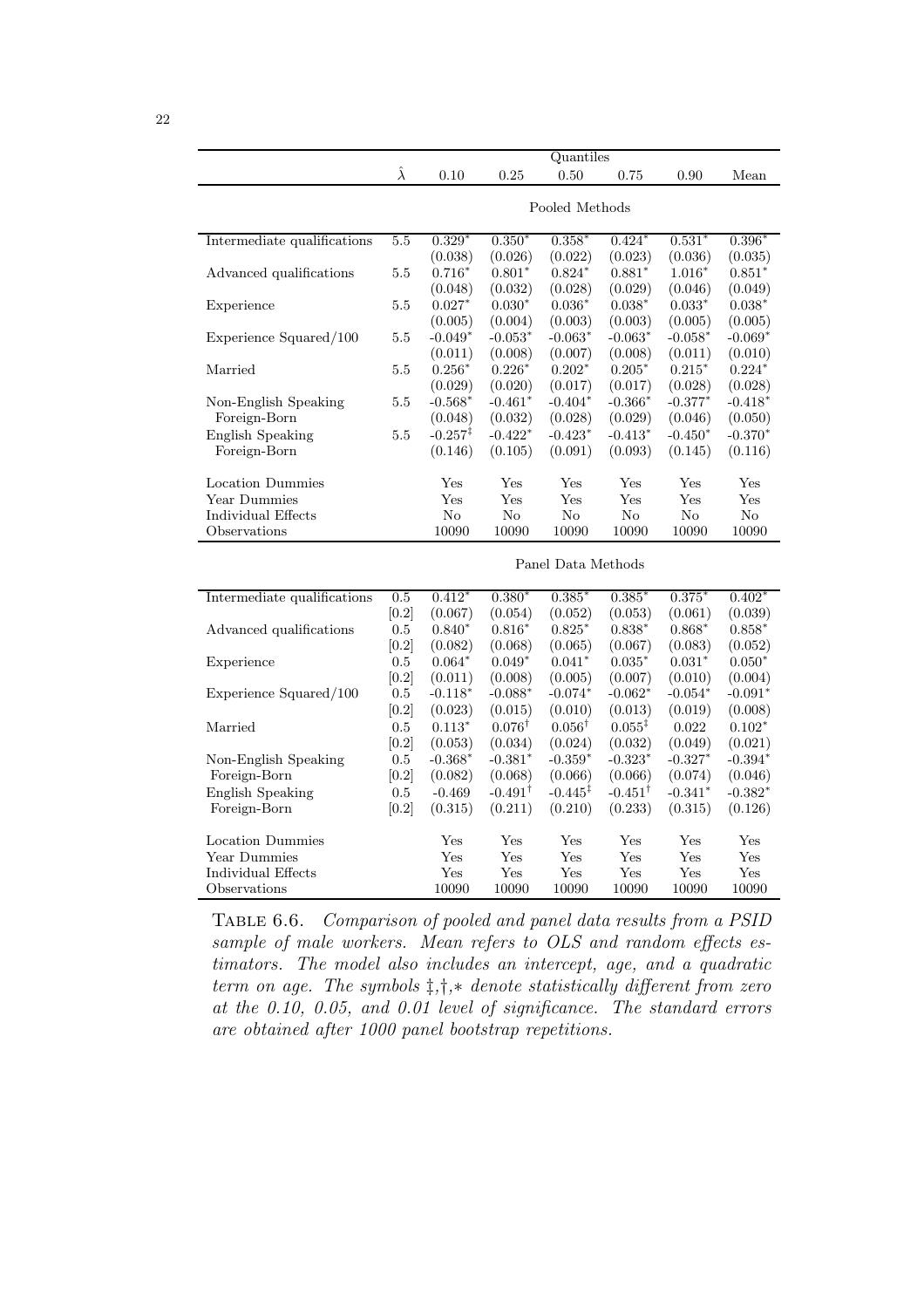|                             | Quantiles       |                     |                    |                     |                    |           |                |  |  |
|-----------------------------|-----------------|---------------------|--------------------|---------------------|--------------------|-----------|----------------|--|--|
|                             | $\hat{\lambda}$ | 0.10                | 0.25               | 0.50                | 0.75               | 0.90      | Mean           |  |  |
|                             |                 |                     |                    |                     |                    |           |                |  |  |
|                             |                 | Pooled Methods      |                    |                     |                    |           |                |  |  |
| Intermediate qualifications | 5.5             | $0.329*$            | $0.350*$           | $0.358*$            | $0.424*$           | $0.531*$  | 0.396          |  |  |
|                             |                 | (0.038)             | (0.026)            | (0.022)             | (0.023)            | (0.036)   | (0.035)        |  |  |
| Advanced qualifications     | 5.5             | $0.716*$            | $0.801*$           | $0.824*$            | $0.881*$           | $1.016*$  | $0.851*$       |  |  |
|                             |                 | (0.048)             | (0.032)            | (0.028)             | (0.029)            | (0.046)   | (0.049)        |  |  |
| Experience                  | 5.5             | $0.027*$            | $0.030*$           | $0.036*$            | $0.038*$           | $0.033*$  | $0.038*$       |  |  |
|                             |                 | (0.005)             | (0.004)            | (0.003)             | (0.003)            | (0.005)   | (0.005)        |  |  |
| Experience Squared/100      | 5.5             | $-0.049*$           | $-0.053*$          | $-0.063*$           | $-0.063*$          | $-0.058*$ | $-0.069*$      |  |  |
|                             |                 | (0.011)             | (0.008)            | (0.007)             | (0.008)            | (0.011)   | (0.010)        |  |  |
| Married                     | 5.5             | $0.256*$            | $0.226*$           | $0.202*$            | $0.205*$           | $0.215*$  | $0.224*$       |  |  |
|                             |                 | (0.029)             | (0.020)            | (0.017)             | (0.017)            | (0.028)   | (0.028)        |  |  |
| Non-English Speaking        | 5.5             | $-0.568*$           | $-0.461*$          | $-0.404*$           | $-0.366*$          | $-0.377*$ | $-0.418^*$     |  |  |
| Foreign-Born                |                 | (0.048)             | (0.032)            | (0.028)             | (0.029)            | (0.046)   | (0.050)        |  |  |
| <b>English Speaking</b>     | 5.5             | $-0.257^{\ddagger}$ | $-0.422*$          | $-0.423*$           | $-0.413*$          | $-0.450*$ | $-0.370*$      |  |  |
| Foreign-Born                |                 | (0.146)             | (0.105)            | (0.091)             | (0.093)            | (0.145)   | (0.116)        |  |  |
|                             |                 |                     |                    |                     |                    |           |                |  |  |
| Location Dummies            |                 | Yes                 | Yes                | Yes                 | Yes                | Yes       | $_{\rm Yes}$   |  |  |
| Year Dummies                |                 | Yes                 | Yes                | Yes                 | Yes                | Yes       | Yes            |  |  |
| Individual Effects          |                 | $\rm No$            | No                 | N <sub>o</sub>      | No                 | No        | N <sub>o</sub> |  |  |
| Observations                |                 | 10090               | 10090              | 10090               | 10090              | 10090     | 10090          |  |  |
|                             |                 |                     |                    | Panel Data Methods  |                    |           |                |  |  |
|                             |                 |                     |                    |                     |                    |           |                |  |  |
| Intermediate qualifications | 0.5             | $0.412*$            | $0.380*$           | $0.385*$            | $0.385*$           | $0.375*$  | $0.402*$       |  |  |
|                             | [0.2]           | (0.067)             | (0.054)            | (0.052)             | (0.053)            | (0.061)   | (0.039)        |  |  |
| Advanced qualifications     | $0.5\,$         | $0.840*$            | $0.816*$           | $0.825*$            | $0.838*$           | $0.868*$  | $0.858*$       |  |  |
|                             | [0.2]           | (0.082)             | (0.068)            | (0.065)             | (0.067)            | (0.083)   | (0.052)        |  |  |
| Experience                  | 0.5             | $0.064*$            | $0.049*$           | $0.041*$            | $0.035*$           | $0.031*$  | $0.050*$       |  |  |
|                             | [0.2]           | (0.011)             | (0.008)            | (0.005)             | (0.007)            | (0.010)   | (0.004)        |  |  |
| Experience Squared/100      | $0.5\,$         | $-0.118*$           | $-0.088*$          | $-0.074*$           | $-0.062*$          | $-0.054*$ | $-0.091^*$     |  |  |
|                             | [0.2]           | (0.023)             | (0.015)            | (0.010)             | (0.013)            | (0.019)   | (0.008)        |  |  |
| Married                     | 0.5             | $0.113*$            | $0.076^{\dagger}$  | $0.056^{\dagger}$   | $0.055^{\ddagger}$ | 0.022     | $0.102*$       |  |  |
|                             | [0.2]           | (0.053)             | (0.034)            | (0.024)             | (0.032)            | (0.049)   | (0.021)        |  |  |
| Non-English Speaking        | 0.5             | $-0.368*$           | $-0.381*$          | $-0.359*$           | $-0.323*$          | $-0.327*$ | $-0.394*$      |  |  |
| Foreign-Born                | [0.2]           | (0.082)             | (0.068)            | (0.066)             | (0.066)            | (0.074)   | (0.046)        |  |  |
| <b>English Speaking</b>     | 0.5             | $-0.469$            | $-0.491^{\dagger}$ | $-0.445^{\ddagger}$ | $-0.451^{\dagger}$ | $-0.341*$ | $-0.382*$      |  |  |
| Foreign-Born                | [0.2]           | (0.315)             | (0.211)            | (0.210)             | (0.233)            | (0.315)   | (0.126)        |  |  |
| <b>Location Dummies</b>     |                 | Yes                 | Yes                | Yes                 | Yes                | Yes       | Yes            |  |  |
| Year Dummies                |                 | Yes                 | Yes                | Yes                 | Yes                | Yes       | Yes            |  |  |
| Individual Effects          |                 | Yes                 | Yes                | Yes                 | Yes                | Yes       | Yes            |  |  |
| Observations                |                 | 10090               | 10090              | 10090               | 10090              | 10090     | 10090          |  |  |
|                             |                 |                     |                    |                     |                    |           |                |  |  |

Table 6.6. Comparison of pooled and panel data results from a PSID sample of male workers. Mean refers to OLS and random effects estimators. The model also includes an intercept, age, and a quadratic term on age. The symbols  $\ddagger, \ddagger, *$  denote statistically different from zero at the 0.10, 0.05, and 0.01 level of significance. The standard errors are obtained after 1000 panel bootstrap repetitions.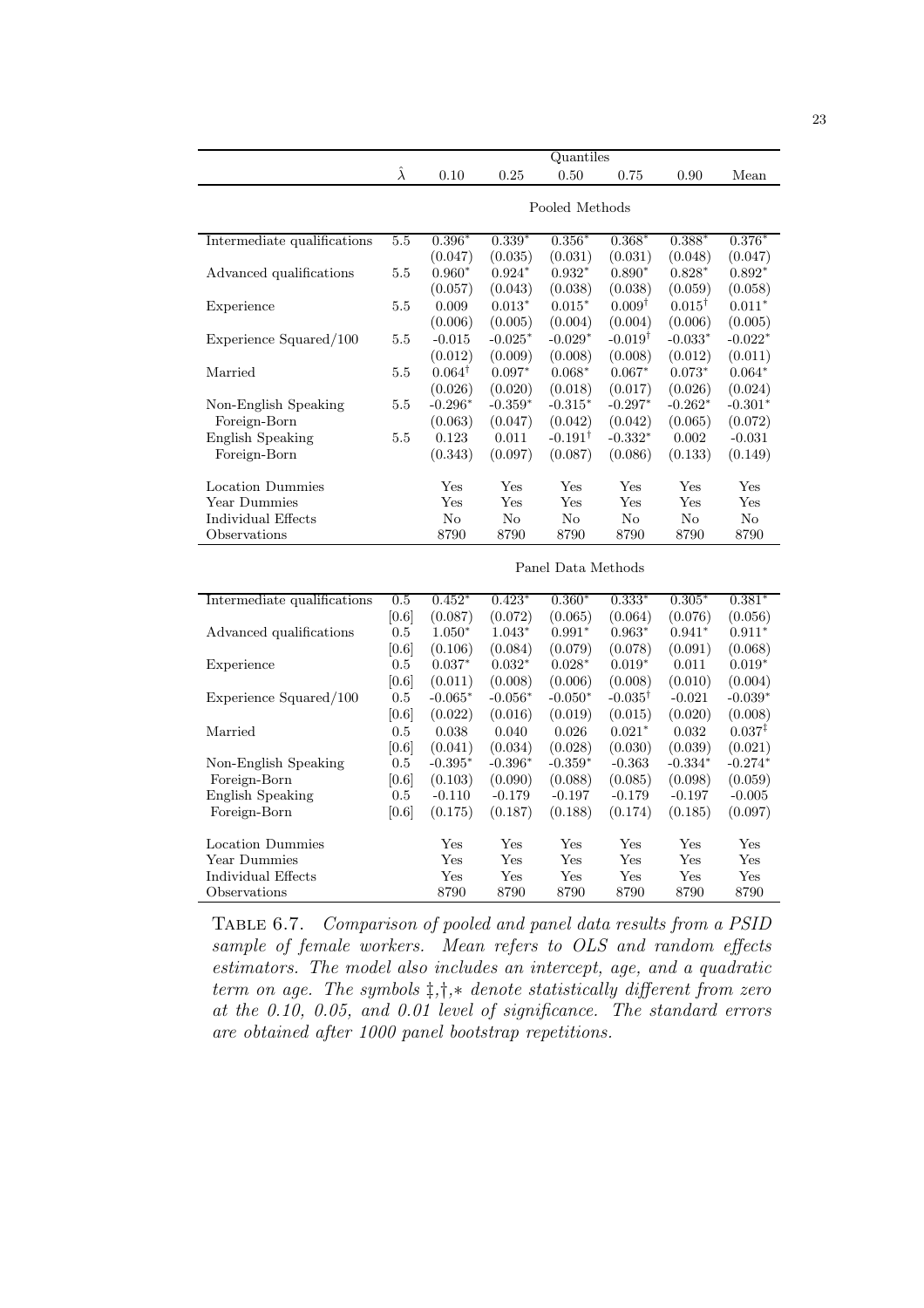|                             | Quantiles       |                   |           |                       |                    |                   |                    |  |  |
|-----------------------------|-----------------|-------------------|-----------|-----------------------|--------------------|-------------------|--------------------|--|--|
|                             | $\hat{\lambda}$ | 0.10              | 0.25      | 0.50                  | 0.75               | 0.90              | Mean               |  |  |
|                             |                 |                   |           |                       |                    |                   |                    |  |  |
|                             | Pooled Methods  |                   |           |                       |                    |                   |                    |  |  |
| Intermediate qualifications | 5.5             | $0.396*$          | $0.339*$  | $0.356*$              | $0.368*$           | $0.388*$          | 0.376              |  |  |
|                             |                 | (0.047)           | (0.035)   | (0.031)               | (0.031)            | (0.048)           | (0.047)            |  |  |
| Advanced qualifications     | 5.5             | $0.960*$          | $0.924*$  | $0.932*$              | $0.890*$           | $0.828*$          | $0.892*$           |  |  |
|                             |                 | (0.057)           | (0.043)   | (0.038)               | (0.038)            | (0.059)           | (0.058)            |  |  |
| Experience                  | 5.5             | 0.009             | $0.013*$  | $0.015*$              | $0.009^{\dagger}$  | $0.015^{\dagger}$ | $0.011*$           |  |  |
|                             |                 | (0.006)           | (0.005)   | (0.004)               | (0.004)            | (0.006)           | (0.005)            |  |  |
| Experience Squared/100      | 5.5             | $-0.015$          | $-0.025*$ | $-0.029*$             | $-0.019^{\dagger}$ | $-0.033*$         | $-0.022*$          |  |  |
|                             |                 | (0.012)           | (0.009)   | (0.008)               | (0.008)            | (0.012)           | (0.011)            |  |  |
| Married                     | 5.5             | $0.064^{\dagger}$ | $0.097*$  | $0.068*$              | $0.067*$           | $0.073*$          | $0.064*$           |  |  |
|                             |                 | (0.026)           | (0.020)   | (0.018)               | (0.017)            | (0.026)           | (0.024)            |  |  |
| Non-English Speaking        | $5.5\,$         | $-0.296*$         | $-0.359*$ | $-0.315*$             | $-0.297*$          | $-0.262*$         | $-0.301*$          |  |  |
| Foreign-Born                |                 | (0.063)           | (0.047)   | (0.042)               | (0.042)            | (0.065)           | (0.072)            |  |  |
| <b>English Speaking</b>     | 5.5             | 0.123             | 0.011     | $-0.191$ <sup>T</sup> | $-0.332*$          | 0.002             | $-0.031$           |  |  |
| Foreign-Born                |                 | (0.343)           | (0.097)   | (0.087)               | (0.086)            | (0.133)           | (0.149)            |  |  |
| Location Dummies            |                 | Yes               | Yes       | Yes                   | Yes                | Yes               | Yes                |  |  |
| Year Dummies                |                 | Yes               | Yes       | Yes                   | Yes                | Yes               | Yes                |  |  |
| Individual Effects          |                 | No                | No        | N <sub>o</sub>        | No                 | No                | No                 |  |  |
| Observations                |                 | 8790              | 8790      | 8790                  | 8790               | 8790              | 8790               |  |  |
|                             |                 |                   |           |                       |                    |                   |                    |  |  |
|                             |                 |                   |           | Panel Data Methods    |                    |                   |                    |  |  |
| Intermediate qualifications | 0.5             | $0.452*$          | $0.423*$  | $0.360*$              | $0.333*$           | $0.305*$          | $0.381*$           |  |  |
|                             | [0.6]           | (0.087)           | (0.072)   | (0.065)               | (0.064)            | (0.076)           | (0.056)            |  |  |
| Advanced qualifications     | $\rm 0.5$       | $1.050*$          | $1.043*$  | $0.991*$              | $0.963*$           | $0.941*$          | $0.911*$           |  |  |
|                             | [0.6]           | (0.106)           | (0.084)   | (0.079)               | (0.078)            | (0.091)           | (0.068)            |  |  |
| Experience                  | 0.5             | $0.037*$          | $0.032*$  | $0.028*$              | $0.019*$           | 0.011             | $0.019*$           |  |  |
|                             | [0.6]           | (0.011)           | (0.008)   | (0.006)               | (0.008)            | (0.010)           | (0.004)            |  |  |
| Experience Squared/100      | $\rm 0.5$       | $-0.065*$         | $-0.056*$ | $-0.050*$             | $-0.035^{\dagger}$ | $-0.021$          | $-0.039*$          |  |  |
|                             | [0.6]           | (0.022)           | (0.016)   | (0.019)               | (0.015)            | (0.020)           | (0.008)            |  |  |
| Married                     | 0.5             | 0.038             | 0.040     | 0.026                 | $0.021*$           | 0.032             | $0.037^{\ddagger}$ |  |  |
|                             | [0.6]           | (0.041)           | (0.034)   | (0.028)               | (0.030)            | (0.039)           | (0.021)            |  |  |
| Non-English Speaking        | $0.5\,$         | $-0.395*$         | $-0.396*$ | $-0.359*$             | $-0.363$           | $-0.334*$         | $-0.274*$          |  |  |
| Foreign-Born                | [0.6]           | (0.103)           | (0.090)   | (0.088)               | (0.085)            | (0.098)           | (0.059)            |  |  |
| <b>English Speaking</b>     | $0.5\,$         | $-0.110$          | $-0.179$  | $-0.197$              | $-0.179$           | $-0.197$          | $-0.005$           |  |  |
| Foreign-Born                | [0.6]           | (0.175)           | (0.187)   | (0.188)               | (0.174)            | (0.185)           | (0.097)            |  |  |
| Location Dummies            |                 | Yes               | Yes       | Yes                   | Yes                | Yes               | Yes                |  |  |
| Year Dummies                |                 | Yes               | Yes       | Yes                   | Yes                | Yes               | Yes                |  |  |
| Individual Effects          |                 | Yes               | Yes       | Yes                   | Yes                | Yes               | Yes                |  |  |
| Observations                |                 | 8790              | 8790      | 8790                  | 8790               | 8790              | 8790               |  |  |

Table 6.7. Comparison of pooled and panel data results from a PSID sample of female workers. Mean refers to OLS and random effects estimators. The model also includes an intercept, age, and a quadratic term on age. The symbols  $\ddagger, \ddagger, *$  denote statistically different from zero at the 0.10, 0.05, and 0.01 level of significance. The standard errors are obtained after 1000 panel bootstrap repetitions.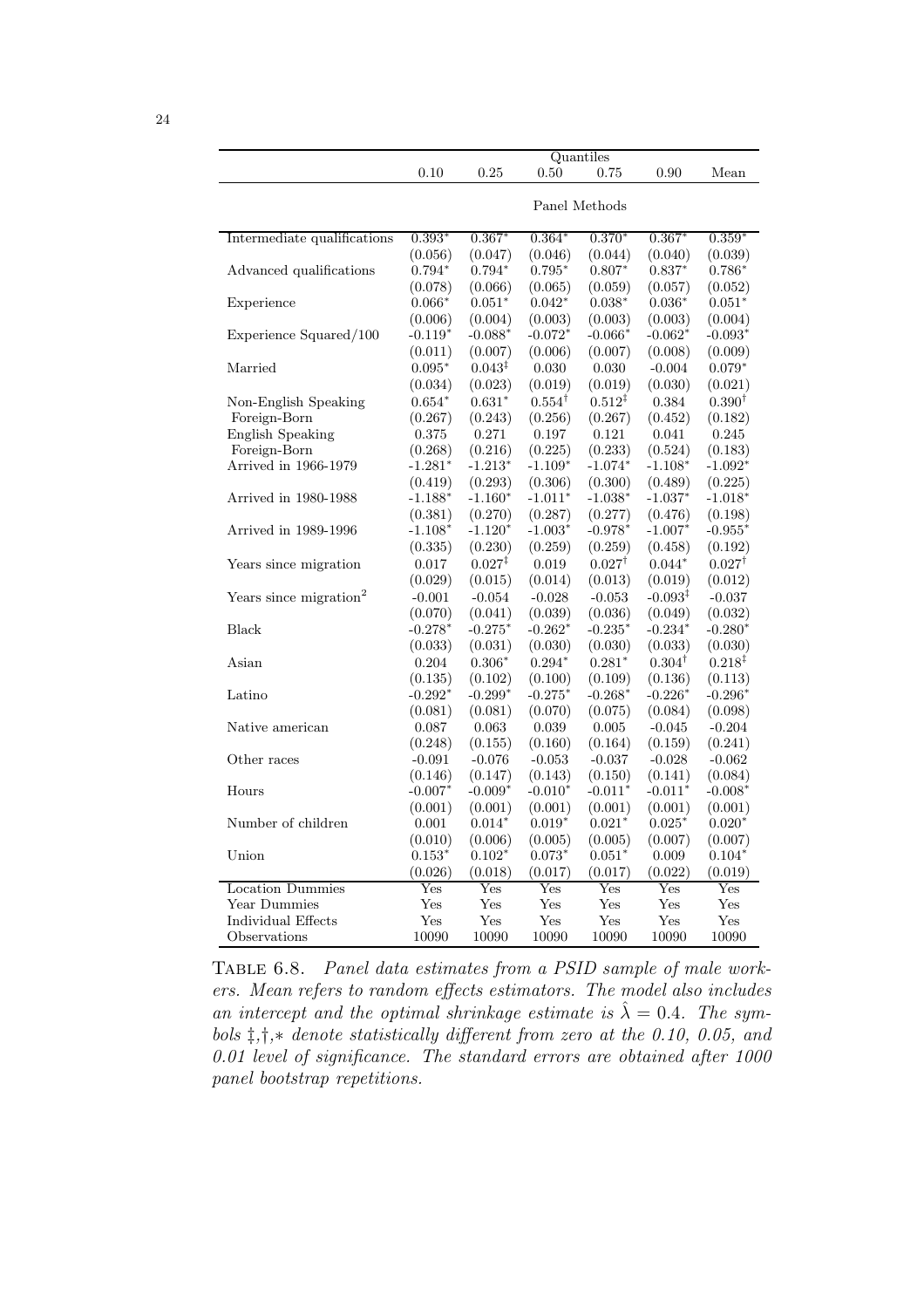|                                    | 0.10                      | 0.25                      | 0.50              | Quantiles<br>0.75  | 0.90                      | Mean                      |  |
|------------------------------------|---------------------------|---------------------------|-------------------|--------------------|---------------------------|---------------------------|--|
|                                    |                           |                           |                   |                    |                           |                           |  |
|                                    | Panel Methods             |                           |                   |                    |                           |                           |  |
|                                    |                           |                           |                   |                    |                           |                           |  |
| Intermediate qualifications        | $0.393*$                  | $0.367*$                  | $0.364*$          | $0.370*$           | $0.367*$                  | $0.359*$                  |  |
|                                    | (0.056)                   | (0.047)                   | (0.046)           | (0.044)            | (0.040)                   | (0.039)                   |  |
| Advanced qualifications            | $0.794*$                  | $0.794*$                  | $0.795*$          | $0.807*$           | $0.837*$                  | $0.786*$                  |  |
|                                    | (0.078)                   | (0.066)                   | (0.065)           | (0.059)            | (0.057)                   | (0.052)                   |  |
| Experience                         | $0.066*$                  | $0.051*$                  | $0.042*$          | $0.038*$           | $0.036*$                  | $0.051*$                  |  |
|                                    | (0.006)                   | (0.004)                   | (0.003)           | (0.003)            | (0.003)                   | (0.004)                   |  |
| Experience Squared/100             | $-0.119*$                 | $-0.088*$                 | $-0.072*$         | $-0.066*$          | $-0.062*$                 | $-0.093*$                 |  |
|                                    | (0.011)                   | (0.007)                   | (0.006)           | (0.007)            | (0.008)                   | (0.009)                   |  |
| Married                            | $0.095*$                  | $0.043^{\ddagger}$        | 0.030             | 0.030              | $-0.004$                  | $0.079*$                  |  |
|                                    | (0.034)                   | (0.023)                   | (0.019)           | (0.019)            | (0.030)                   | (0.021)                   |  |
| Non-English Speaking               | $0.654*$                  | $0.631*$                  | $0.554^{\dagger}$ | $0.512^{\ddagger}$ | 0.384                     | $0.390^{\dagger}$         |  |
| Foreign-Born                       | (0.267)                   | (0.243)                   | (0.256)           | (0.267)            | (0.452)                   | (0.182)                   |  |
| <b>English Speaking</b>            | 0.375                     | 0.271                     | 0.197             | 0.121              | 0.041                     | 0.245                     |  |
| Foreign-Born                       | (0.268)                   | (0.216)                   | (0.225)           | (0.233)            | (0.524)                   | (0.183)                   |  |
| Arrived in 1966-1979               | $-1.281*$                 | $-1.213*$                 | $-1.109*$         | $-1.074*$          | $-1.108*$                 | $-1.092*$                 |  |
|                                    | (0.419)                   | (0.293)                   | (0.306)           | (0.300)            | (0.489)                   | (0.225)                   |  |
| Arrived in 1980-1988               | $-1.188*$                 | $-1.160*$                 | $-1.011*$         | $-1.038*$          | $-1.037*$                 | $-1.018*$                 |  |
|                                    | (0.381)                   | (0.270)                   | (0.287)           | (0.277)            | (0.476)                   | (0.198)                   |  |
| Arrived in 1989-1996               | $-1.108*$                 | $-1.120*$                 | $-1.003*$         | $-0.978*$          | $-1.007*$                 | $-0.955*$                 |  |
|                                    | (0.335)                   | (0.230)                   | (0.259)           | (0.259)            | (0.458)                   | (0.192)                   |  |
| Years since migration              | 0.017                     | $0.027^{4}$               | 0.019             | $0.027^{\dagger}$  | $0.044*$                  | $0.027^{\dagger}$         |  |
|                                    | (0.029)                   | (0.015)                   | (0.014)           | (0.013)            | (0.019)                   | (0.012)                   |  |
| Years since migration <sup>2</sup> | $-0.001$                  | $-0.054$                  | $-0.028$          | $-0.053$           | $-0.093^{\ddagger}$       | $-0.037$                  |  |
|                                    | (0.070)                   | (0.041)                   | (0.039)           | (0.036)            | (0.049)                   | (0.032)                   |  |
| <b>Black</b>                       | $-0.278*$                 | $-0.275*$                 | $-0.262*$         | $-0.235*$          | $-0.234*$                 | $-0.280*$                 |  |
|                                    | (0.033)                   | (0.031)                   | (0.030)           | (0.030)            | (0.033)                   | (0.030)                   |  |
| Asian                              | 0.204                     | $0.306*$                  | $0.294*$          | $0.281*$           | $0.304^{\dagger}$         | $0.218^{\ddagger}$        |  |
|                                    | (0.135)                   | (0.102)                   | (0.100)           | (0.109)            | (0.136)                   | (0.113)                   |  |
| Latino                             | $-0.292*$                 | $-0.299*$                 | $-0.275*$         | $-0.268*$          | $-0.226*$                 | $-0.296*$                 |  |
|                                    | (0.081)                   | (0.081)                   | (0.070)           | (0.075)            | (0.084)                   | (0.098)                   |  |
| Native american                    | 0.087                     | 0.063                     | 0.039             | 0.005              | $-0.045$                  | $-0.204$                  |  |
|                                    | (0.248)                   | (0.155)                   | (0.160)           | (0.164)            | (0.159)                   | (0.241)                   |  |
| Other races                        | $-0.091$                  | $-0.076$                  | $-0.053$          | $-0.037$           | $-0.028$                  | $-0.062$                  |  |
|                                    | (0.146)                   | (0.147)                   | (0.143)           | (0.150)            | (0.141)                   | (0.084)                   |  |
| Hours                              | $-0.007*$                 | $-0.009*$                 | $-0.010*$         | $-0.011*$          | $-0.011*$                 | $-0.008*$                 |  |
|                                    | (0.001)                   | (0.001)                   | (0.001)           | (0.001)            | (0.001)                   | (0.001)                   |  |
| Number of children                 | 0.001                     | $0.014*$                  | $0.019*$          | $0.021*$           | $0.025*$                  | $0.020*$                  |  |
|                                    | (0.010)                   | (0.006)                   | (0.005)           | (0.005)            | (0.007)                   | (0.007)                   |  |
| Union                              | $0.153*$                  | $0.102*$                  | $0.073*$          | $0.051*$           | 0.009                     | $0.104*$                  |  |
|                                    | (0.026)                   | (0.018)                   | (0.017)           | (0.017)            | (0.022)                   | (0.019)                   |  |
| <b>Location Dummies</b>            | $\overline{\mathrm{Yes}}$ | $\overline{\mathrm{Yes}}$ | Yes               | Yes                | $\overline{\mathrm{Yes}}$ | $\overline{\mathrm{Yes}}$ |  |
| <b>Year Dummies</b>                | Yes                       | Yes                       | Yes               | Yes                | Yes                       | Yes                       |  |
| Individual Effects                 | Yes                       | Yes                       | Yes               | Yes                | Yes                       | Yes                       |  |
| Observations                       | 10090                     | 10090                     | 10090             | 10090              | 10090                     | 10090                     |  |

Table 6.8. Panel data estimates from a PSID sample of male workers. Mean refers to random effects estimators. The model also includes an intercept and the optimal shrinkage estimate is  $\hat{\lambda} = 0.4$ . The symbols ‡,†,∗ denote statistically different from zero at the 0.10, 0.05, and 0.01 level of significance. The standard errors are obtained after 1000 panel bootstrap repetitions.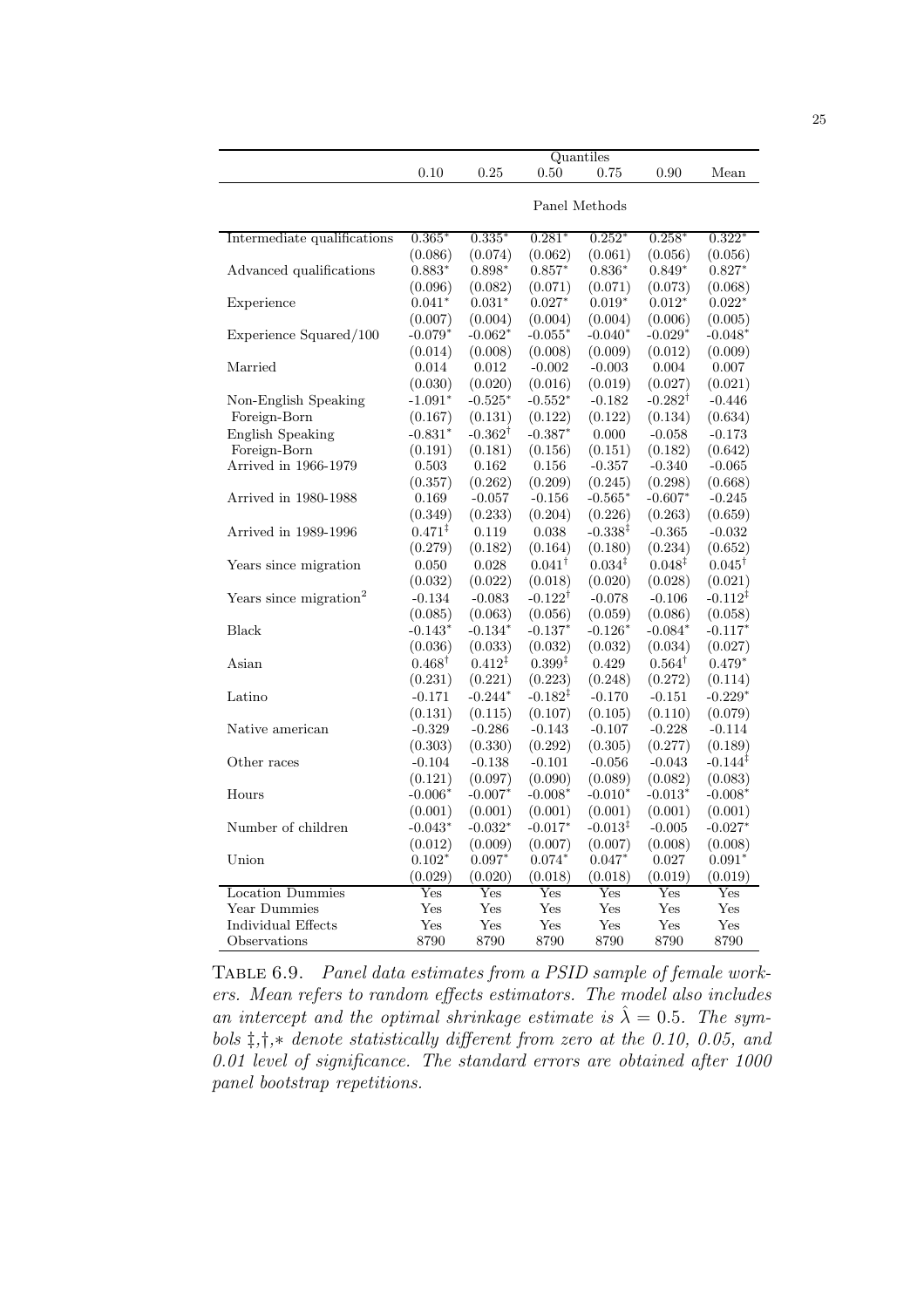|                                    |                                      |                                      |                    | Quantiles           |                                      |                                      |  |
|------------------------------------|--------------------------------------|--------------------------------------|--------------------|---------------------|--------------------------------------|--------------------------------------|--|
|                                    | 0.10                                 | 0.25                                 | 0.50               | 0.75                | 0.90                                 | Mean                                 |  |
|                                    | Panel Methods                        |                                      |                    |                     |                                      |                                      |  |
|                                    |                                      |                                      |                    |                     |                                      |                                      |  |
| Intermediate qualifications        | $0.365*$                             | $0.335*$                             | $0.281*$           | $0.252*$            | $0.258*$                             | $0.322*$                             |  |
|                                    | (0.086)                              | (0.074)                              | (0.062)            | (0.061)             | (0.056)                              | (0.056)                              |  |
| Advanced qualifications            | $0.883*$                             | $0.898*$                             | $0.857*$           | $0.836*$            | $0.849*$                             | $0.827*$                             |  |
|                                    | (0.096)                              | (0.082)                              | (0.071)            | (0.071)             | (0.073)                              | (0.068)                              |  |
| Experience                         | $0.041*$                             | $0.031*$                             | $0.027*$           | $0.019*$            | $0.012*$                             | $0.022*$                             |  |
|                                    | (0.007)                              | (0.004)                              | (0.004)            | (0.004)             | (0.006)                              | (0.005)                              |  |
| Experience Squared/100             | $-0.079^*$                           | $-0.062*$                            | $-0.055*$          | $-0.040*$           | $-0.029*$                            | - $0.048^\ast$                       |  |
|                                    | (0.014)                              | (0.008)                              | (0.008)            | (0.009)             | (0.012)                              | (0.009)                              |  |
| Married                            | 0.014                                | 0.012                                | $-0.002$           | $-0.003$            | 0.004                                | 0.007                                |  |
|                                    | (0.030)                              | (0.020)                              | (0.016)            | (0.019)             | (0.027)                              | (0.021)                              |  |
| Non-English Speaking               | $-1.091*$                            | $-0.525*$                            | $-0.552*$          | $-0.182$            | $-0.282^{\dagger}$                   | $-0.446$                             |  |
| Foreign-Born                       | (0.167)                              | (0.131)                              | (0.122)            | (0.122)             | (0.134)                              | (0.634)                              |  |
| <b>English Speaking</b>            | $-0.831*$                            | $-0.362^{\dagger}$                   | $-0.387*$          | 0.000               | $-0.058$                             | $-0.173$                             |  |
| Foreign-Born                       | (0.191)                              | (0.181)                              | (0.156)            | (0.151)             | (0.182)                              | (0.642)                              |  |
| Arrived in 1966-1979               | 0.503                                | 0.162                                | 0.156              | $-0.357$            | $-0.340$                             | $-0.065$                             |  |
|                                    | (0.357)                              | (0.262)                              | (0.209)            | (0.245)             | (0.298)                              | (0.668)                              |  |
| Arrived in 1980-1988               | 0.169                                | $-0.057$                             | $-0.156$           | $-0.565*$           | $-0.607*$                            | $-0.245$                             |  |
|                                    | (0.349)                              | (0.233)                              | (0.204)            | (0.226)             | (0.263)                              | (0.659)                              |  |
| Arrived in 1989-1996               | $0.471^{\ddagger}$                   | 0.119                                | 0.038              | $-0.338^{\ddagger}$ | $-0.365$                             | $-0.032$                             |  |
|                                    | (0.279)                              | (0.182)                              | (0.164)            | (0.180)             | (0.234)                              | (0.652)                              |  |
| Years since migration              | 0.050                                | 0.028                                | $0.041^{\dagger}$  | $0.034^{\ddagger}$  | $0.048^{\ddagger}$                   | $0.045^{\dagger}$                    |  |
|                                    | (0.032)                              | (0.022)                              | (0.018)            | (0.020)             | (0.028)                              | (0.021)                              |  |
| Years since migration <sup>2</sup> | $-0.134$                             | $-0.083$                             | $-0.122^{\dagger}$ | $-0.078$            | $-0.106$                             | $-0.112^{1}$                         |  |
|                                    | (0.085)                              | (0.063)                              | (0.056)            | (0.059)             | (0.086)                              | (0.058)                              |  |
| Black                              | $-0.143*$                            | $-0.134*$                            | $-0.137*$          | $-0.126*$           | $-0.084*$                            | $-0.117*$                            |  |
|                                    | (0.036)                              | (0.033)                              | (0.032)            | (0.032)             | (0.034)                              | (0.027)                              |  |
| Asian                              | $0.468^{\dagger}$                    | $0.412^{\ddagger}$                   | $0.399*$           | 0.429               | $0.564^{\dagger}$                    | $0.479*$                             |  |
|                                    | (0.231)                              | (0.221)                              | (0.223)            | (0.248)             | (0.272)                              | (0.114)                              |  |
| Latino                             | $-0.171$                             | $-0.244*$                            | $-0.182^{4}$       | $-0.170$            | $-0.151$                             | $-0.229*$                            |  |
|                                    | (0.131)                              | (0.115)                              | (0.107)            | (0.105)             | (0.110)                              | (0.079)                              |  |
| Native american                    | $-0.329$                             | $-0.286$                             | $-0.143$           | $-0.107$            | $-0.228$                             | $-0.114$                             |  |
|                                    | (0.303)                              | (0.330)                              | (0.292)            | (0.305)             | (0.277)                              | (0.189)                              |  |
| Other races                        | $-0.104$                             | $-0.138$                             | $-0.101$           | $-0.056$            | $-0.043$                             | $-0.144^{\ddagger}$                  |  |
|                                    |                                      | (0.097)                              | (0.090)            | (0.089)             | (0.082)                              | (0.083)                              |  |
| Hours                              | (0.121)<br>$-0.006*$                 | $-0.007*$                            | $-0.008*$          | $-0.010*$           | $-0.013*$                            | $-0.008*$                            |  |
|                                    | (0.001)                              | (0.001)                              | (0.001)            | (0.001)             | (0.001)                              | (0.001)                              |  |
| Number of children                 | $-0.043*$                            | $-0.032*$                            | $-0.017*$          | $-0.013^{\ddagger}$ | $-0.005$                             | $-0.027*$                            |  |
|                                    |                                      |                                      | (0.007)            | (0.007)             | (0.008)                              | (0.008)                              |  |
| Union                              | (0.012)                              | (0.009)                              | $0.074*$           | $0.047*$            | 0.027                                |                                      |  |
|                                    | $0.102*$                             | $0.097*$                             |                    |                     |                                      | $0.091*$                             |  |
| Location Dummies                   | (0.029)<br>$\overline{\mathrm{Yes}}$ | (0.020)<br>$\overline{\mathrm{Yes}}$ | (0.018)<br>Yes     | (0.018)<br>Yes      | (0.019)<br>$\overline{\mathrm{Yes}}$ | (0.019)<br>$\overline{\mathrm{Yes}}$ |  |
| Year Dummies                       | Yes                                  | Yes                                  | Yes                | Yes                 | Yes                                  | Yes                                  |  |
| Individual Effects                 | Yes                                  | Yes                                  | Yes                | Yes                 | Yes                                  | Yes                                  |  |
| Observations                       | 8790                                 | 8790                                 | 8790               | 8790                | 8790                                 | 8790                                 |  |
|                                    |                                      |                                      |                    |                     |                                      |                                      |  |

TABLE 6.9. Panel data estimates from a PSID sample of female workers. Mean refers to random effects estimators. The model also includes an intercept and the optimal shrinkage estimate is  $\hat{\lambda} = 0.5$ . The symbols ‡,†,∗ denote statistically different from zero at the 0.10, 0.05, and 0.01 level of significance. The standard errors are obtained after 1000 panel bootstrap repetitions.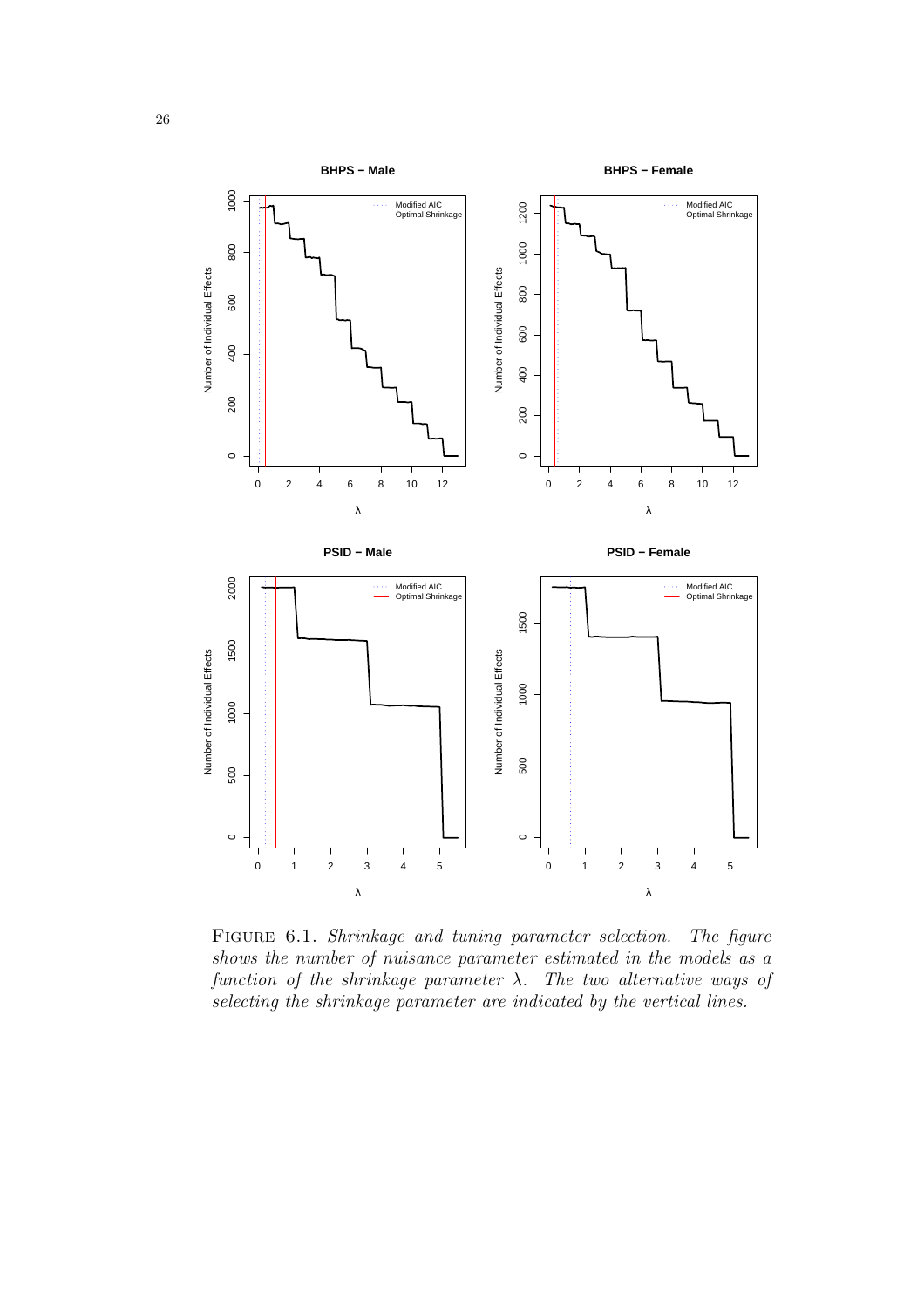

FIGURE 6.1. Shrinkage and tuning parameter selection. The figure shows the number of nuisance parameter estimated in the models as a function of the shrinkage parameter  $\lambda$ . The two alternative ways of selecting the shrinkage parameter are indicated by the vertical lines.